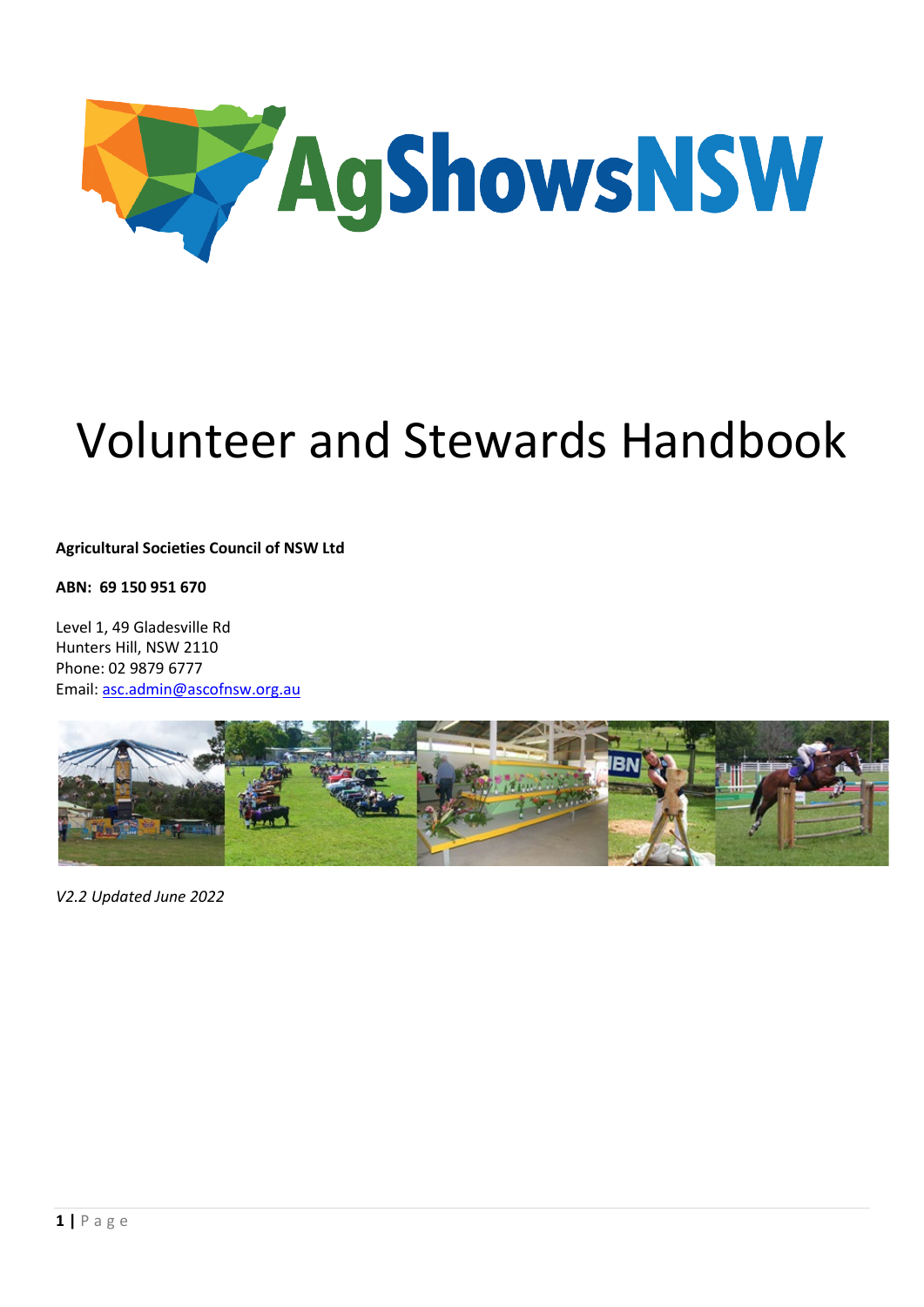

# Volunteer and Stewards Handbook

**Agricultural Societies Council of NSW Ltd**

**ABN: 69 150 951 670**

Level 1, 49 Gladesville Rd Hunters Hill, NSW 2110 Phone: 02 9879 6777 Email: [asc.admin@ascofnsw.org.au](mailto:asc.admin@ascofnsw.org.au)



*V2.2 Updated June 2022*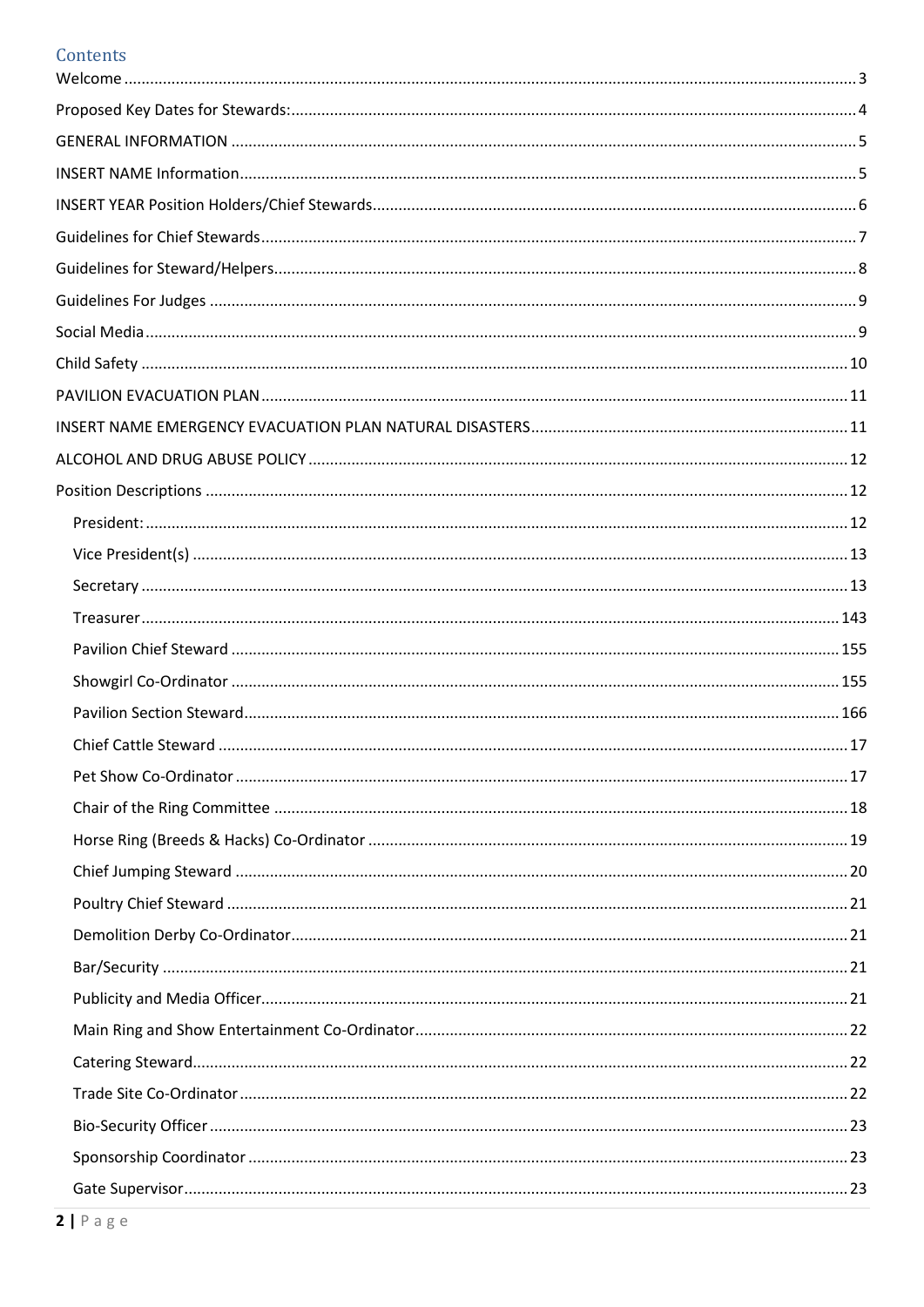# Contents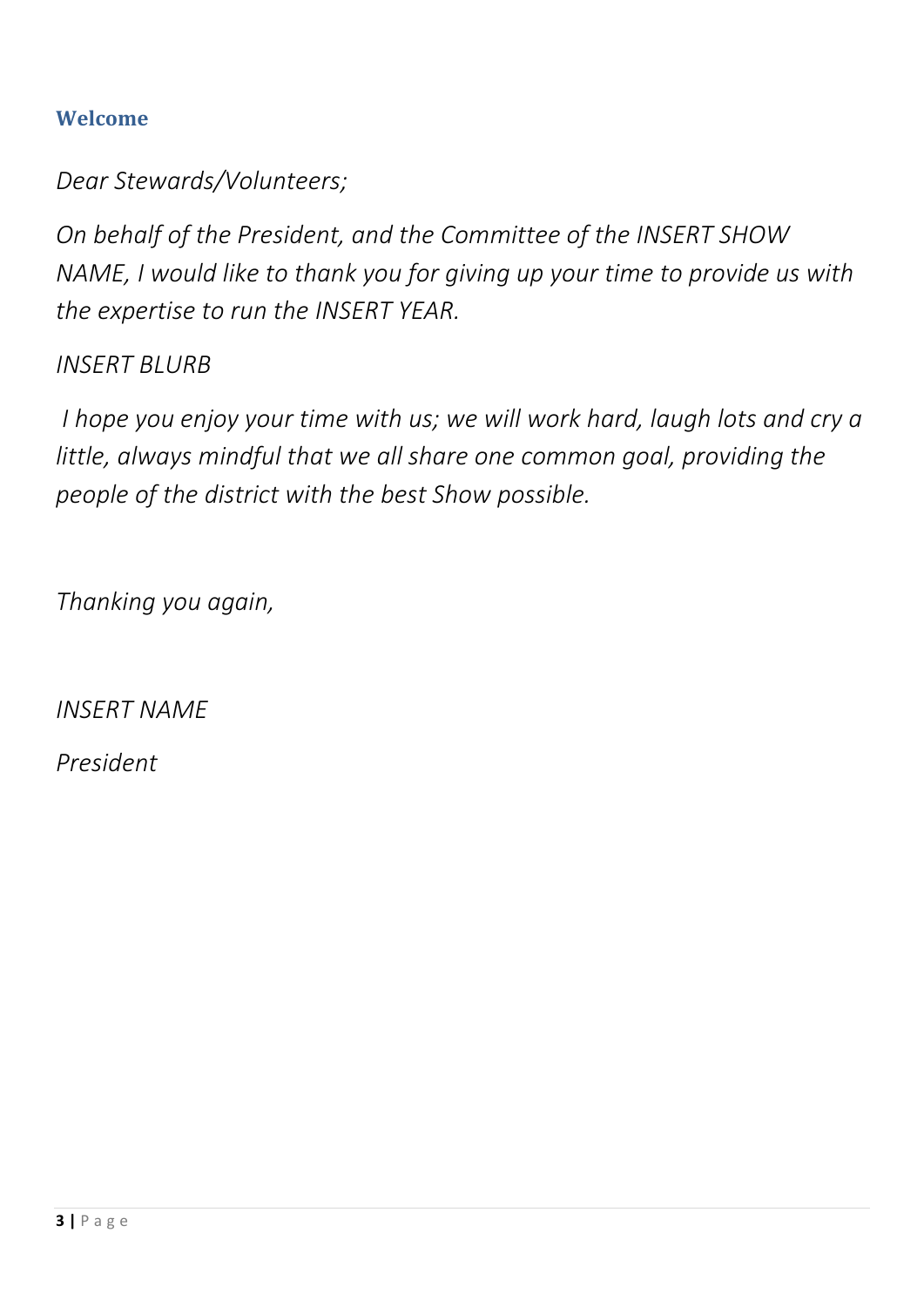# <span id="page-2-0"></span>**Welcome**

*Dear Stewards/Volunteers;*

*On behalf of the President, and the Committee of the INSERT SHOW NAME, I would like to thank you for giving up your time to provide us with the expertise to run the INSERT YEAR.*

*INSERT BLURB*

*I hope you enjoy your time with us; we will work hard, laugh lots and cry a little, always mindful that we all share one common goal, providing the people of the district with the best Show possible.* 

*Thanking you again,* 

*INSERT NAME*

*President*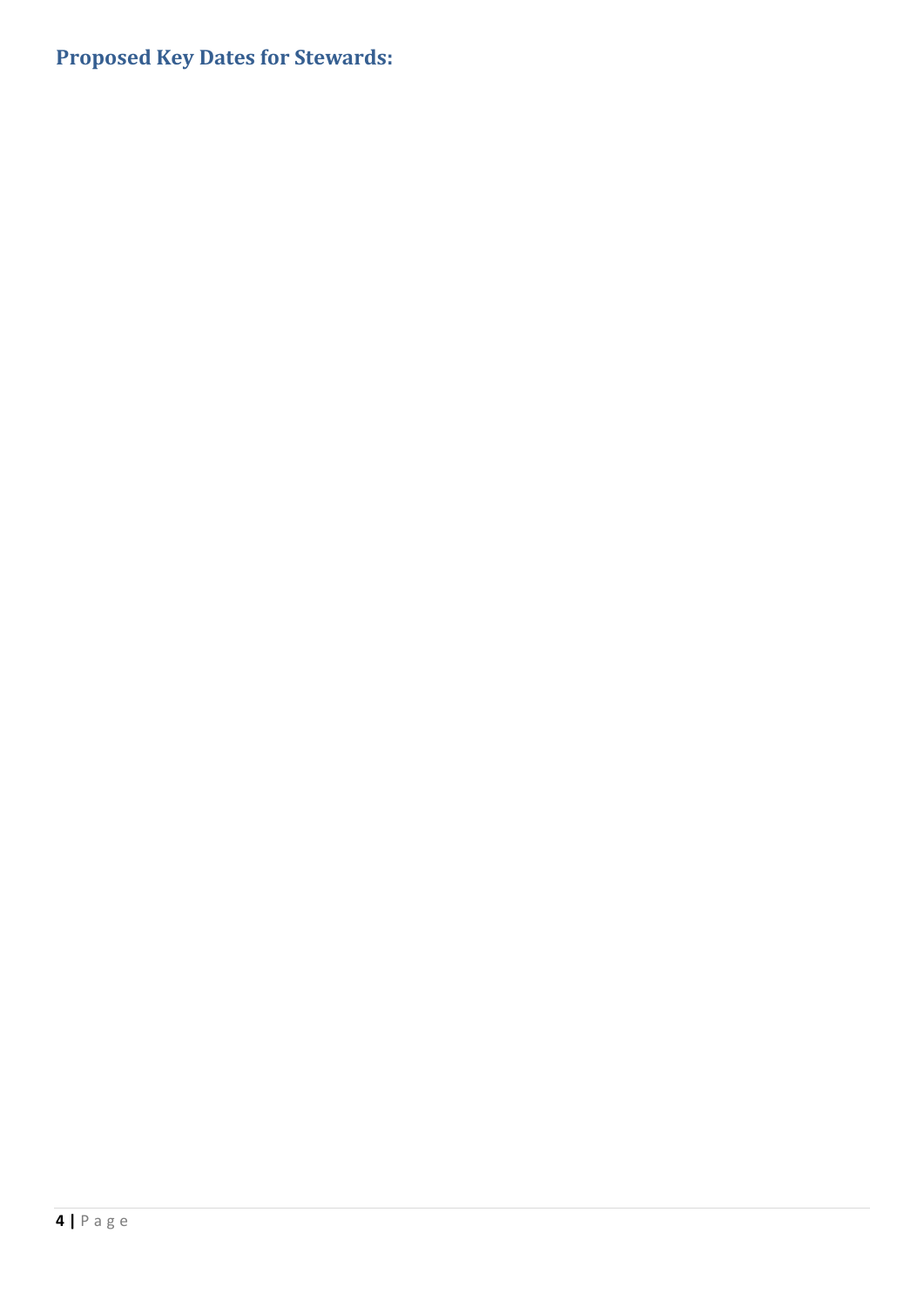# <span id="page-3-0"></span>**Proposed Key Dates for Stewards:**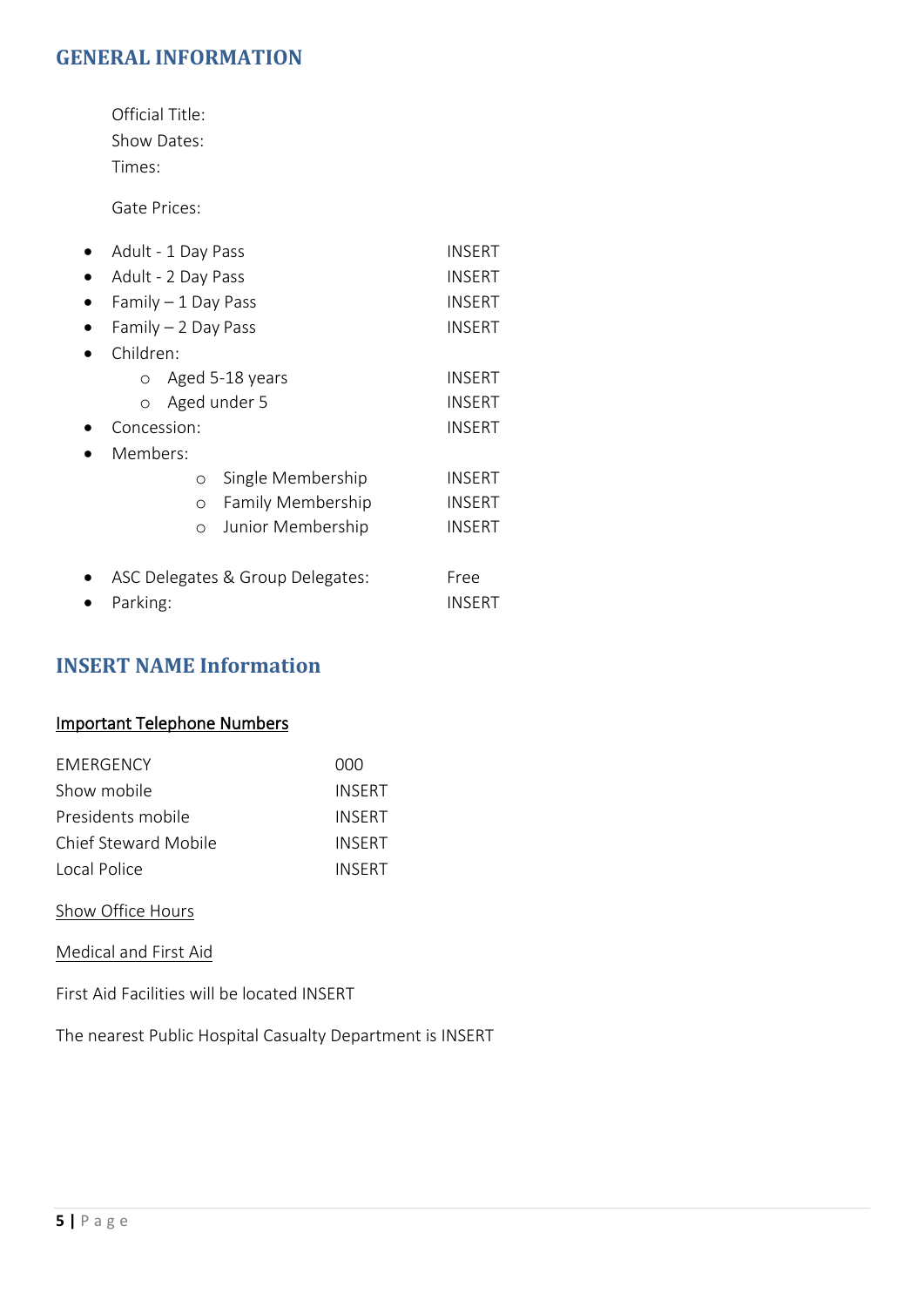# <span id="page-4-0"></span>**GENERAL INFORMATION**

Official Title: Show Dates: Times:

Gate Prices:

| Adult - 1 Day Pass               |         |                   | INSERT        |  |
|----------------------------------|---------|-------------------|---------------|--|
| Adult - 2 Day Pass               | INSERT  |                   |               |  |
| Family $-1$ Day Pass             |         |                   | INSERT        |  |
| Family $-2$ Day Pass             |         |                   | <b>INSERT</b> |  |
| Children:                        |         |                   |               |  |
| Aged 5-18 years<br>$\circ$       |         |                   | INSERT        |  |
| $\circ$                          |         | Aged under 5      | INSERT        |  |
| Concession:                      |         |                   | INSERT        |  |
| Members:                         |         |                   |               |  |
|                                  | O       | Single Membership | INSERT        |  |
|                                  | $\circ$ | Family Membership | INSERT        |  |
|                                  | O       | Junior Membership | INSERT        |  |
|                                  |         |                   |               |  |
| ASC Delegates & Group Delegates: |         |                   | Free          |  |
| Parking:                         |         |                   | INSERT        |  |

# <span id="page-4-1"></span>**INSERT NAME Information**

### Important Telephone Numbers

| <b>FMFRGFNCY</b>     | 000           |
|----------------------|---------------|
| Show mobile          | <b>INSERT</b> |
| Presidents mobile    | <b>INSERT</b> |
| Chief Steward Mobile | <b>INSERT</b> |
| Local Police         | <b>INSERT</b> |

### Show Office Hours

Medical and First Aid

First Aid Facilities will be located INSERT

The nearest Public Hospital Casualty Department is INSERT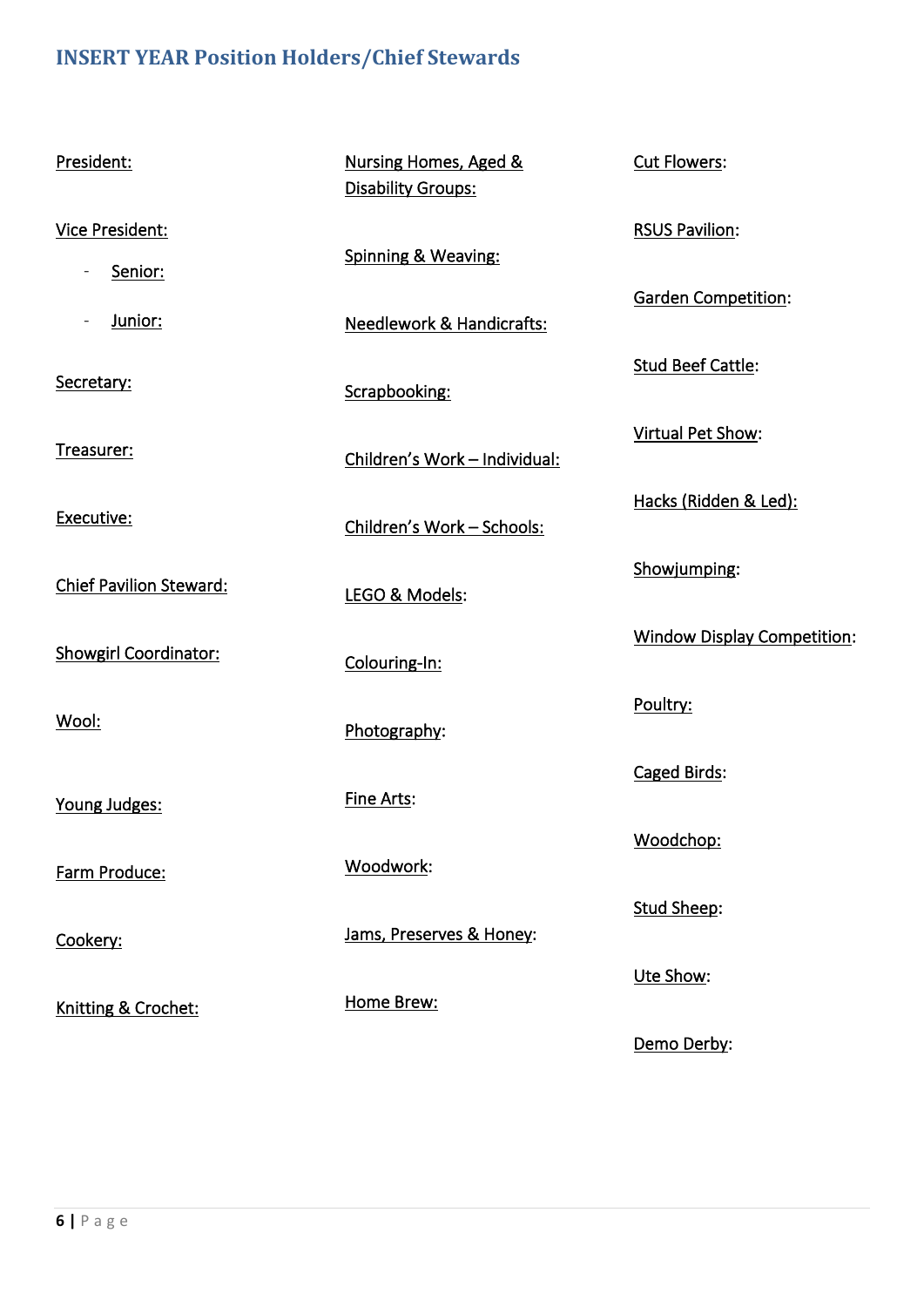# <span id="page-5-0"></span>**INSERT YEAR Position Holders/Chief Stewards**

| President:                        | Nursing Homes, Aged &<br><b>Disability Groups:</b> | Cut Flowers:                       |
|-----------------------------------|----------------------------------------------------|------------------------------------|
| <b>Vice President:</b><br>Senior: | Spinning & Weaving:                                | <b>RSUS Pavilion:</b>              |
| Junior:                           | <b>Needlework &amp; Handicrafts:</b>               | <b>Garden Competition:</b>         |
| Secretary:                        | Scrapbooking:                                      | <b>Stud Beef Cattle:</b>           |
| Treasurer:                        | Children's Work - Individual:                      | Virtual Pet Show:                  |
| Executive:                        | Children's Work - Schools:                         | Hacks (Ridden & Led):              |
| <b>Chief Pavilion Steward:</b>    | LEGO & Models:                                     | Showjumping:                       |
| <b>Showgirl Coordinator:</b>      | Colouring-In:                                      | <b>Window Display Competition:</b> |
| <u>Wool:</u>                      | Photography:                                       | Poultry:                           |
| Young Judges:                     | Fine Arts:                                         | Caged Birds:                       |
| Farm Produce:                     | Woodwork:                                          | Woodchop:                          |
| Cookery:                          | Jams, Preserves & Honey:                           | Stud Sheep:                        |
|                                   | Home Brew:                                         | Ute Show:                          |
| Knitting & Crochet:               |                                                    | Demo Derby:                        |
|                                   |                                                    |                                    |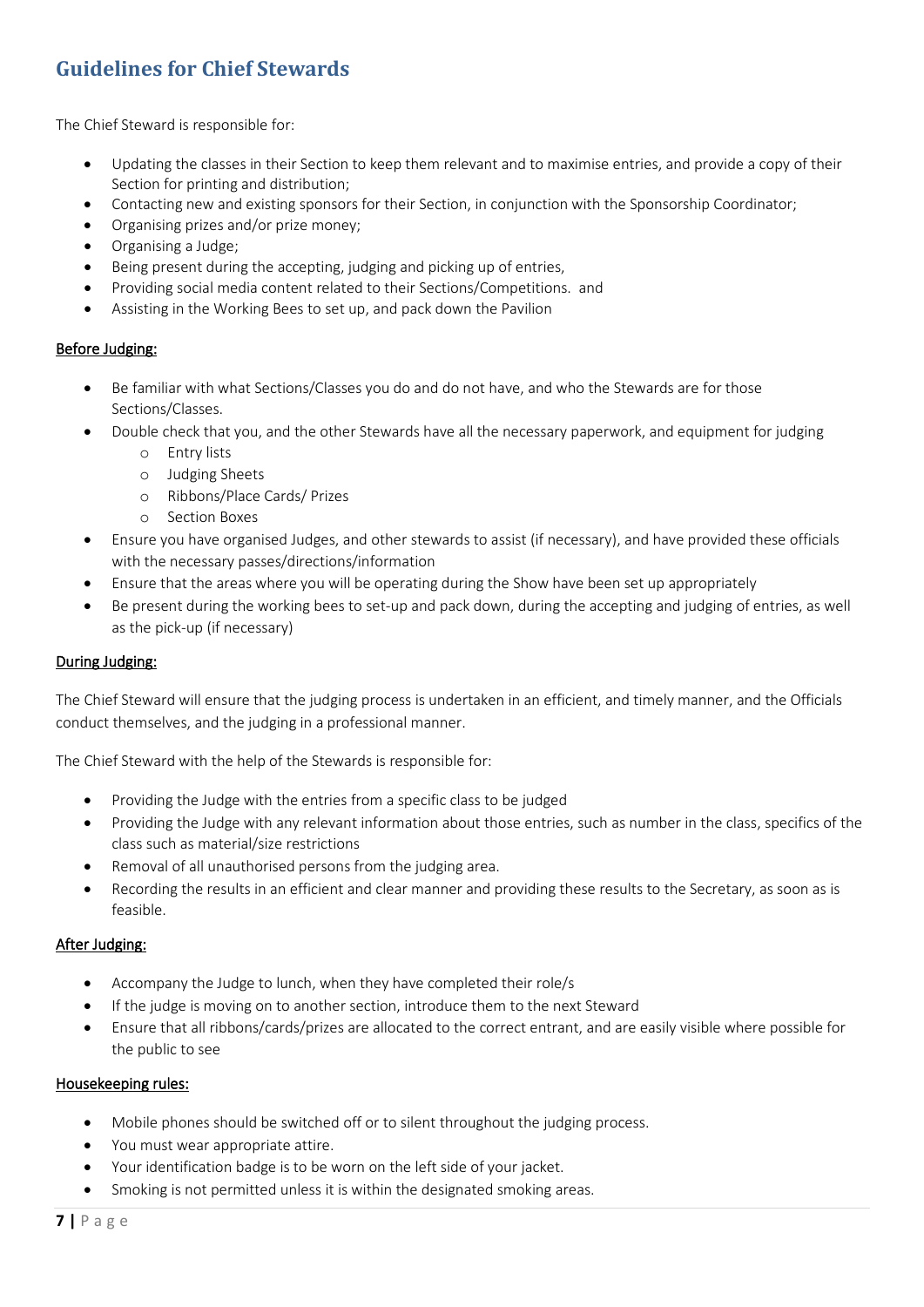# <span id="page-6-0"></span>**Guidelines for Chief Stewards**

The Chief Steward is responsible for:

- Updating the classes in their Section to keep them relevant and to maximise entries, and provide a copy of their Section for printing and distribution;
- Contacting new and existing sponsors for their Section, in conjunction with the Sponsorship Coordinator;
- Organising prizes and/or prize money;
- Organising a Judge;
- Being present during the accepting, judging and picking up of entries,
- Providing social media content related to their Sections/Competitions. and
- Assisting in the Working Bees to set up, and pack down the Pavilion

#### Before Judging:

- Be familiar with what Sections/Classes you do and do not have, and who the Stewards are for those Sections/Classes.
- Double check that you, and the other Stewards have all the necessary paperwork, and equipment for judging
	- o Entry lists
	- o Judging Sheets
	- o Ribbons/Place Cards/ Prizes
	- o Section Boxes
- Ensure you have organised Judges, and other stewards to assist (if necessary), and have provided these officials with the necessary passes/directions/information
- Ensure that the areas where you will be operating during the Show have been set up appropriately
- Be present during the working bees to set-up and pack down, during the accepting and judging of entries, as well as the pick-up (if necessary)

#### During Judging:

The Chief Steward will ensure that the judging process is undertaken in an efficient, and timely manner, and the Officials conduct themselves, and the judging in a professional manner.

The Chief Steward with the help of the Stewards is responsible for:

- Providing the Judge with the entries from a specific class to be judged
- Providing the Judge with any relevant information about those entries, such as number in the class, specifics of the class such as material/size restrictions
- Removal of all unauthorised persons from the judging area.
- Recording the results in an efficient and clear manner and providing these results to the Secretary, as soon as is feasible.

#### After Judging:

- Accompany the Judge to lunch, when they have completed their role/s
- If the judge is moving on to another section, introduce them to the next Steward
- Ensure that all ribbons/cards/prizes are allocated to the correct entrant, and are easily visible where possible for the public to see

#### Housekeeping rules:

- Mobile phones should be switched off or to silent throughout the judging process.
- You must wear appropriate attire.
- Your identification badge is to be worn on the left side of your jacket.
- Smoking is not permitted unless it is within the designated smoking areas.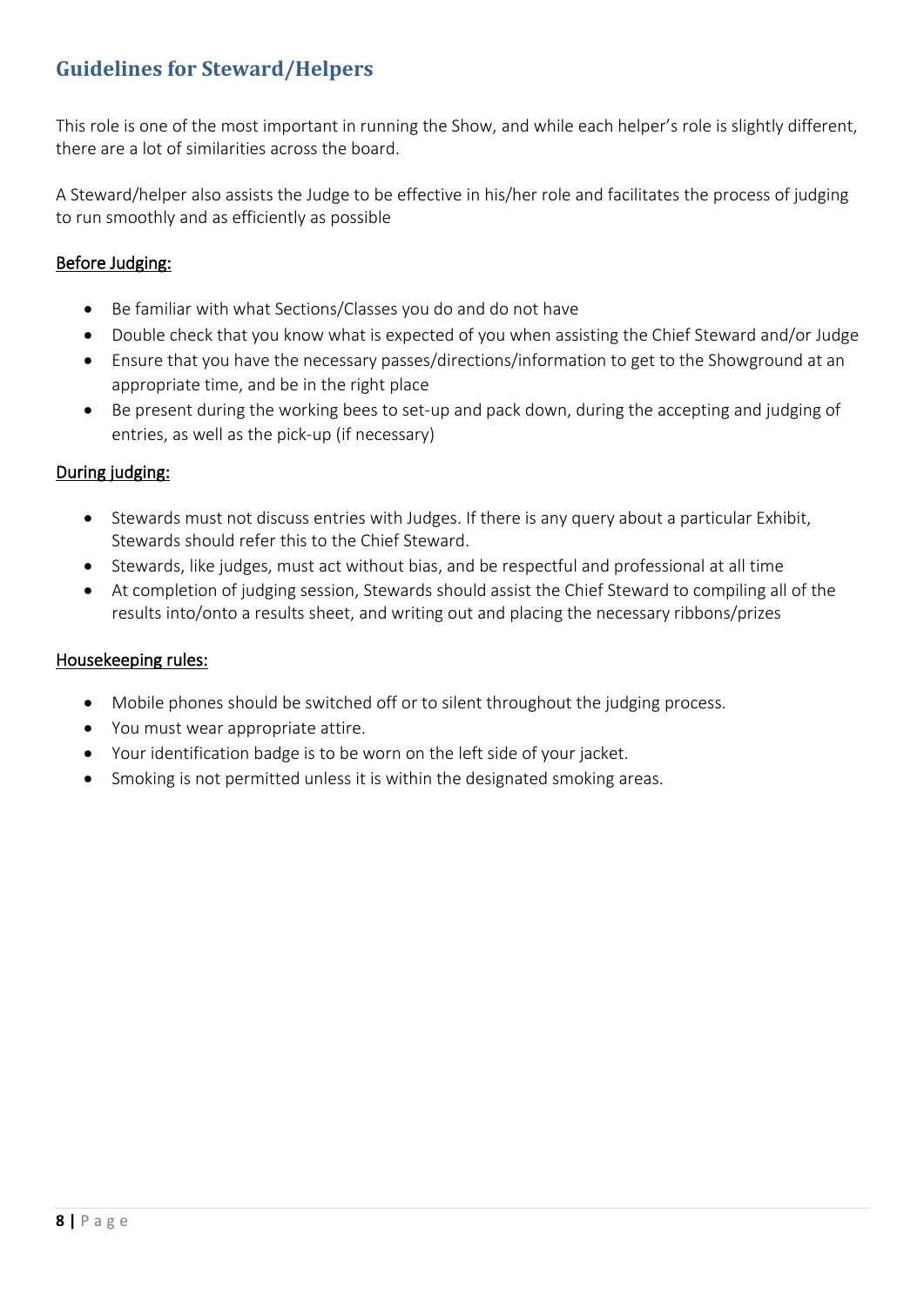# <span id="page-7-0"></span>**Guidelines for Steward/Helpers**

This role is one of the most important in running the Show, and while each helper's role is slightly different, there are a lot of similarities across the board.

A Steward/helper also assists the Judge to be effective in his/her role and facilitates the process of judging to run smoothly and as efficiently as possible

### Before Judging:

- Be familiar with what Sections/Classes you do and do not have
- Double check that you know what is expected of you when assisting the Chief Steward and/or Judge
- Ensure that you have the necessary passes/directions/information to get to the Showground at an appropriate time, and be in the right place
- Be present during the working bees to set-up and pack down, during the accepting and judging of entries, as well as the pick-up (if necessary)

### During judging:

- Stewards must not discuss entries with Judges. If there is any query about a particular Exhibit, Stewards should refer this to the Chief Steward.
- Stewards, like judges, must act without bias, and be respectful and professional at all time
- At completion of judging session, Stewards should assist the Chief Steward to compiling all of the results into/onto a results sheet, and writing out and placing the necessary ribbons/prizes

### Housekeeping rules:

- Mobile phones should be switched off or to silent throughout the judging process.
- You must wear appropriate attire.
- Your identification badge is to be worn on the left side of your jacket.
- Smoking is not permitted unless it is within the designated smoking areas.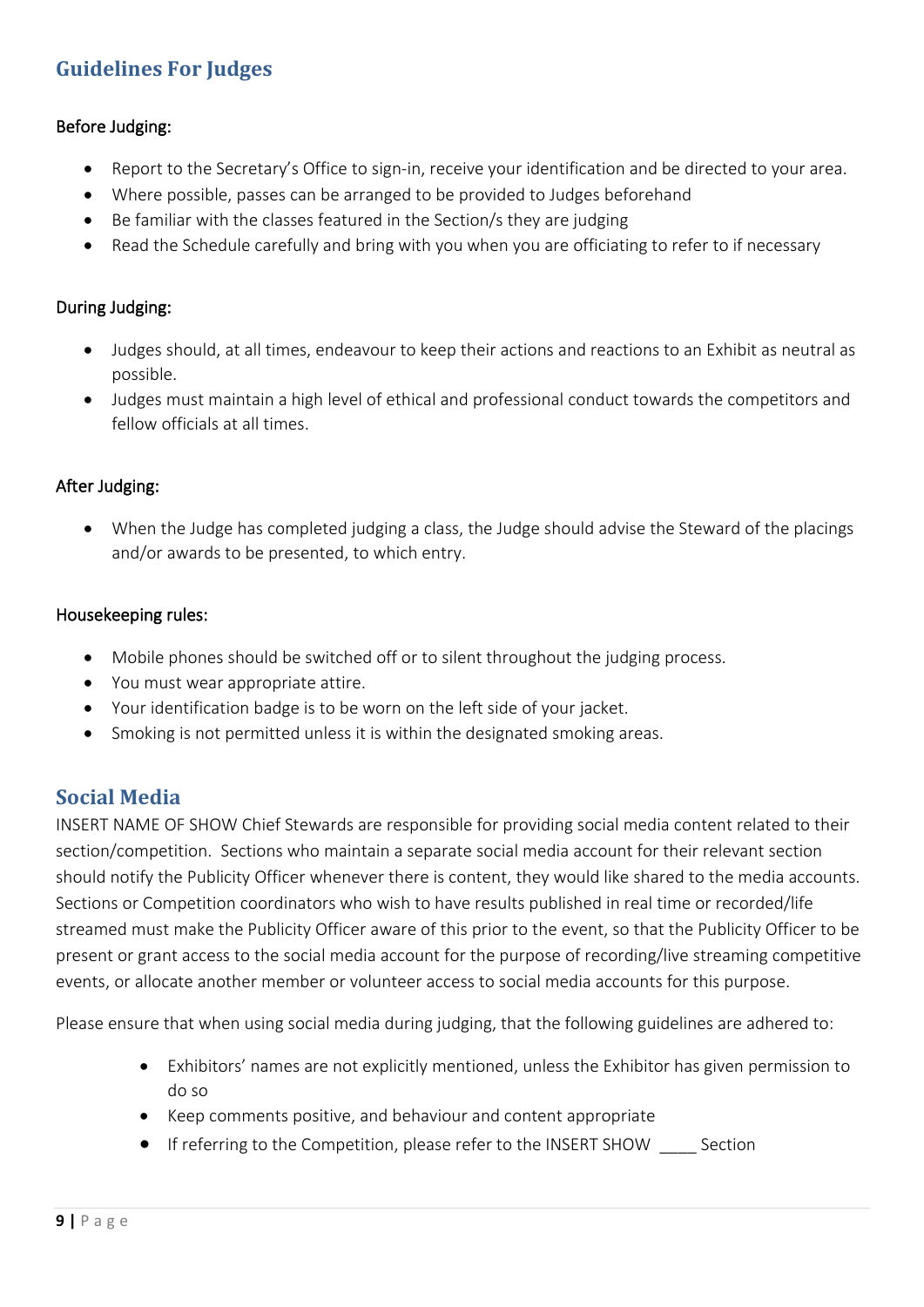# <span id="page-8-0"></span>**Guidelines For Judges**

### Before Judging:

- Report to the Secretary's Office to sign-in, receive your identification and be directed to your area.
- Where possible, passes can be arranged to be provided to Judges beforehand
- Be familiar with the classes featured in the Section/s they are judging
- Read the Schedule carefully and bring with you when you are officiating to refer to if necessary

### During Judging:

- Judges should, at all times, endeavour to keep their actions and reactions to an Exhibit as neutral as possible.
- Judges must maintain a high level of ethical and professional conduct towards the competitors and fellow officials at all times.

### After Judging:

• When the Judge has completed judging a class, the Judge should advise the Steward of the placings and/or awards to be presented, to which entry.

### Housekeeping rules:

- Mobile phones should be switched off or to silent throughout the judging process.
- You must wear appropriate attire.
- Your identification badge is to be worn on the left side of your jacket.
- <span id="page-8-1"></span>• Smoking is not permitted unless it is within the designated smoking areas.

# **Social Media**

INSERT NAME OF SHOW Chief Stewards are responsible for providing social media content related to their section/competition. Sections who maintain a separate social media account for their relevant section should notify the Publicity Officer whenever there is content, they would like shared to the media accounts. Sections or Competition coordinators who wish to have results published in real time or recorded/life streamed must make the Publicity Officer aware of this prior to the event, so that the Publicity Officer to be present or grant access to the social media account for the purpose of recording/live streaming competitive events, or allocate another member or volunteer access to social media accounts for this purpose.

Please ensure that when using social media during judging, that the following guidelines are adhered to:

- Exhibitors' names are not explicitly mentioned, unless the Exhibitor has given permission to do so
- Keep comments positive, and behaviour and content appropriate
- If referring to the Competition, please refer to the INSERT SHOW \_\_\_\_ Section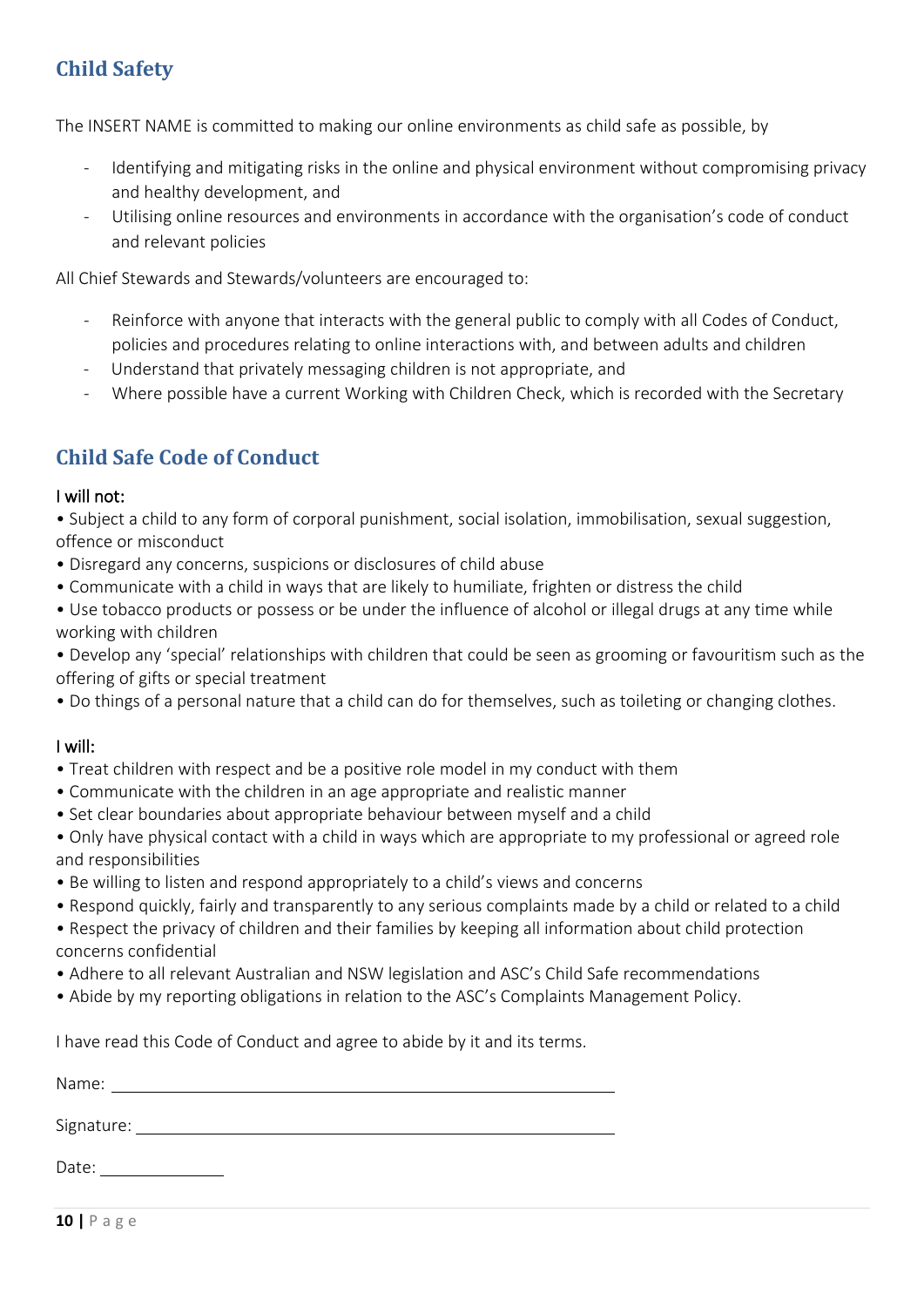# <span id="page-9-0"></span>**Child Safety**

The INSERT NAME is committed to making our online environments as child safe as possible, by

- Identifying and mitigating risks in the online and physical environment without compromising privacy and healthy development, and
- Utilising online resources and environments in accordance with the organisation's code of conduct and relevant policies

All Chief Stewards and Stewards/volunteers are encouraged to:

- Reinforce with anyone that interacts with the general public to comply with all Codes of Conduct, policies and procedures relating to online interactions with, and between adults and children
- Understand that privately messaging children is not appropriate, and
- Where possible have a current Working with Children Check, which is recorded with the Secretary

# <span id="page-9-1"></span>**Child Safe Code of Conduct**

### I will not:

• Subject a child to any form of corporal punishment, social isolation, immobilisation, sexual suggestion, offence or misconduct

- Disregard any concerns, suspicions or disclosures of child abuse
- Communicate with a child in ways that are likely to humiliate, frighten or distress the child
- Use tobacco products or possess or be under the influence of alcohol or illegal drugs at any time while working with children

• Develop any 'special' relationships with children that could be seen as grooming or favouritism such as the offering of gifts or special treatment

• Do things of a personal nature that a child can do for themselves, such as toileting or changing clothes.

### I will:

- Treat children with respect and be a positive role model in my conduct with them
- Communicate with the children in an age appropriate and realistic manner
- Set clear boundaries about appropriate behaviour between myself and a child
- Only have physical contact with a child in ways which are appropriate to my professional or agreed role and responsibilities
- Be willing to listen and respond appropriately to a child's views and concerns
- Respond quickly, fairly and transparently to any serious complaints made by a child or related to a child
- Respect the privacy of children and their families by keeping all information about child protection concerns confidential
- Adhere to all relevant Australian and NSW legislation and ASC's Child Safe recommendations
- Abide by my reporting obligations in relation to the ASC's Complaints Management Policy.

I have read this Code of Conduct and agree to abide by it and its terms.

| Name:      |  |  |  |
|------------|--|--|--|
|            |  |  |  |
| Signature: |  |  |  |
|            |  |  |  |
| Date:      |  |  |  |
|            |  |  |  |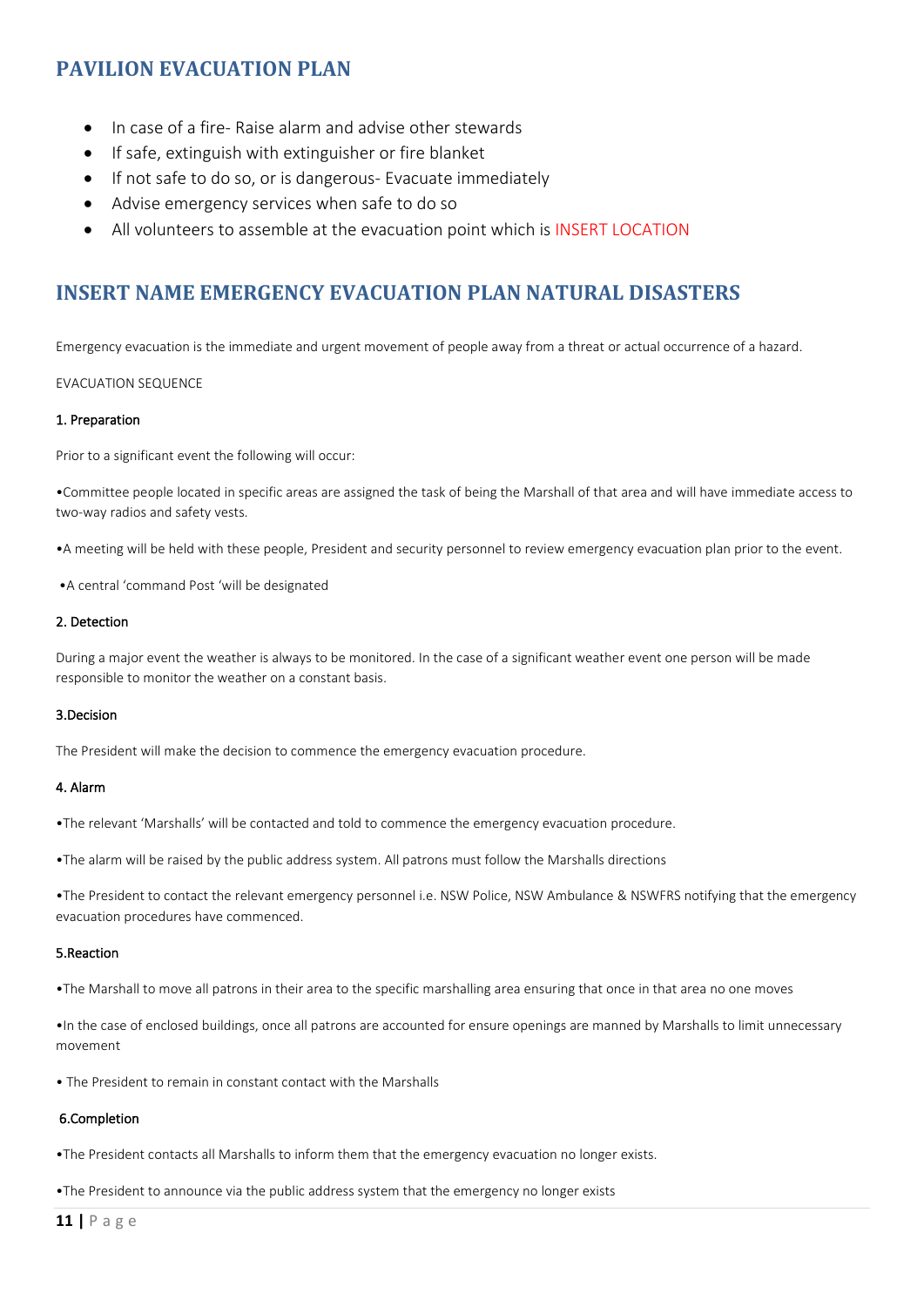# **PAVILION EVACUATION PLAN**

- In case of a fire- Raise alarm and advise other stewards
- If safe, extinguish with extinguisher or fire blanket
- If not safe to do so, or is dangerous- Evacuate immediately
- Advise emergency services when safe to do so
- All volunteers to assemble at the evacuation point which is INSERT LOCATION

# <span id="page-10-0"></span>**INSERT NAME EMERGENCY EVACUATION PLAN NATURAL DISASTERS**

Emergency evacuation is the immediate and urgent movement of people away from a threat or actual occurrence of a hazard.

#### EVACUATION SEQUENCE

#### 1. Preparation

Prior to a significant event the following will occur:

•Committee people located in specific areas are assigned the task of being the Marshall of that area and will have immediate access to two-way radios and safety vests.

•A meeting will be held with these people, President and security personnel to review emergency evacuation plan prior to the event.

•A central 'command Post 'will be designated

#### 2. Detection

During a major event the weather is always to be monitored. In the case of a significant weather event one person will be made responsible to monitor the weather on a constant basis.

#### 3.Decision

The President will make the decision to commence the emergency evacuation procedure.

#### 4. Alarm

•The relevant 'Marshalls' will be contacted and told to commence the emergency evacuation procedure.

•The alarm will be raised by the public address system. All patrons must follow the Marshalls directions

•The President to contact the relevant emergency personnel i.e. NSW Police, NSW Ambulance & NSWFRS notifying that the emergency evacuation procedures have commenced.

#### 5.Reaction

•The Marshall to move all patrons in their area to the specific marshalling area ensuring that once in that area no one moves

•In the case of enclosed buildings, once all patrons are accounted for ensure openings are manned by Marshalls to limit unnecessary movement

• The President to remain in constant contact with the Marshalls

#### 6.Completion

•The President contacts all Marshalls to inform them that the emergency evacuation no longer exists.

•The President to announce via the public address system that the emergency no longer exists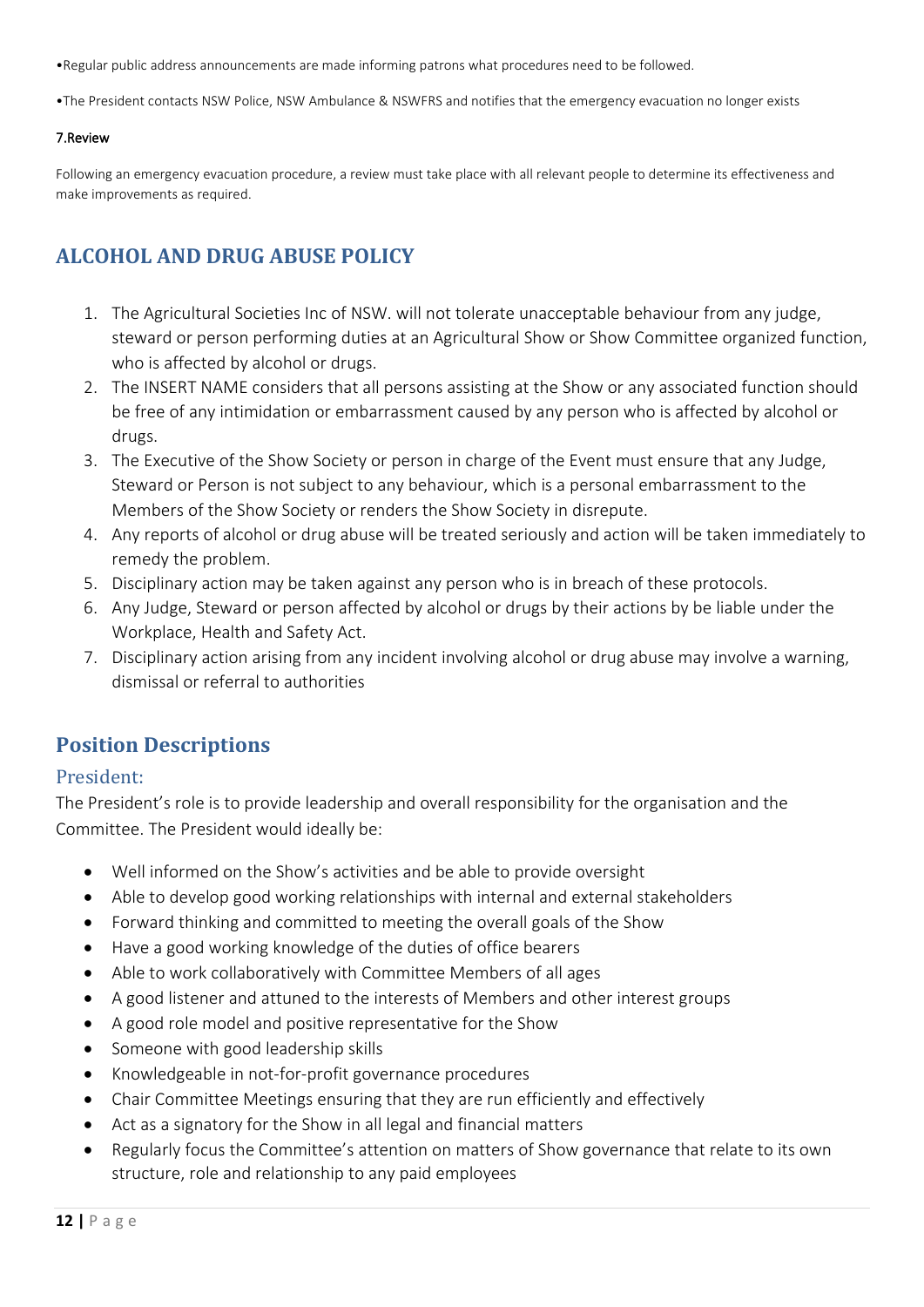•Regular public address announcements are made informing patrons what procedures need to be followed.

•The President contacts NSW Police, NSW Ambulance & NSWFRS and notifies that the emergency evacuation no longer exists

#### 7.Review

Following an emergency evacuation procedure, a review must take place with all relevant people to determine its effectiveness and make improvements as required.

# <span id="page-11-0"></span>**ALCOHOL AND DRUG ABUSE POLICY**

- 1. The Agricultural Societies Inc of NSW. will not tolerate unacceptable behaviour from any judge, steward or person performing duties at an Agricultural Show or Show Committee organized function, who is affected by alcohol or drugs.
- 2. The INSERT NAME considers that all persons assisting at the Show or any associated function should be free of any intimidation or embarrassment caused by any person who is affected by alcohol or drugs.
- 3. The Executive of the Show Society or person in charge of the Event must ensure that any Judge, Steward or Person is not subject to any behaviour, which is a personal embarrassment to the Members of the Show Society or renders the Show Society in disrepute.
- 4. Any reports of alcohol or drug abuse will be treated seriously and action will be taken immediately to remedy the problem.
- 5. Disciplinary action may be taken against any person who is in breach of these protocols.
- 6. Any Judge, Steward or person affected by alcohol or drugs by their actions by be liable under the Workplace, Health and Safety Act.
- 7. Disciplinary action arising from any incident involving alcohol or drug abuse may involve a warning, dismissal or referral to authorities

# <span id="page-11-1"></span>**Position Descriptions**

### <span id="page-11-2"></span>President:

The President's role is to provide leadership and overall responsibility for the organisation and the Committee. The President would ideally be:

- Well informed on the Show's activities and be able to provide oversight
- Able to develop good working relationships with internal and external stakeholders
- Forward thinking and committed to meeting the overall goals of the Show
- Have a good working knowledge of the duties of office bearers
- Able to work collaboratively with Committee Members of all ages
- A good listener and attuned to the interests of Members and other interest groups
- A good role model and positive representative for the Show
- Someone with good leadership skills
- Knowledgeable in not-for-profit governance procedures
- Chair Committee Meetings ensuring that they are run efficiently and effectively
- Act as a signatory for the Show in all legal and financial matters
- Regularly focus the Committee's attention on matters of Show governance that relate to its own structure, role and relationship to any paid employees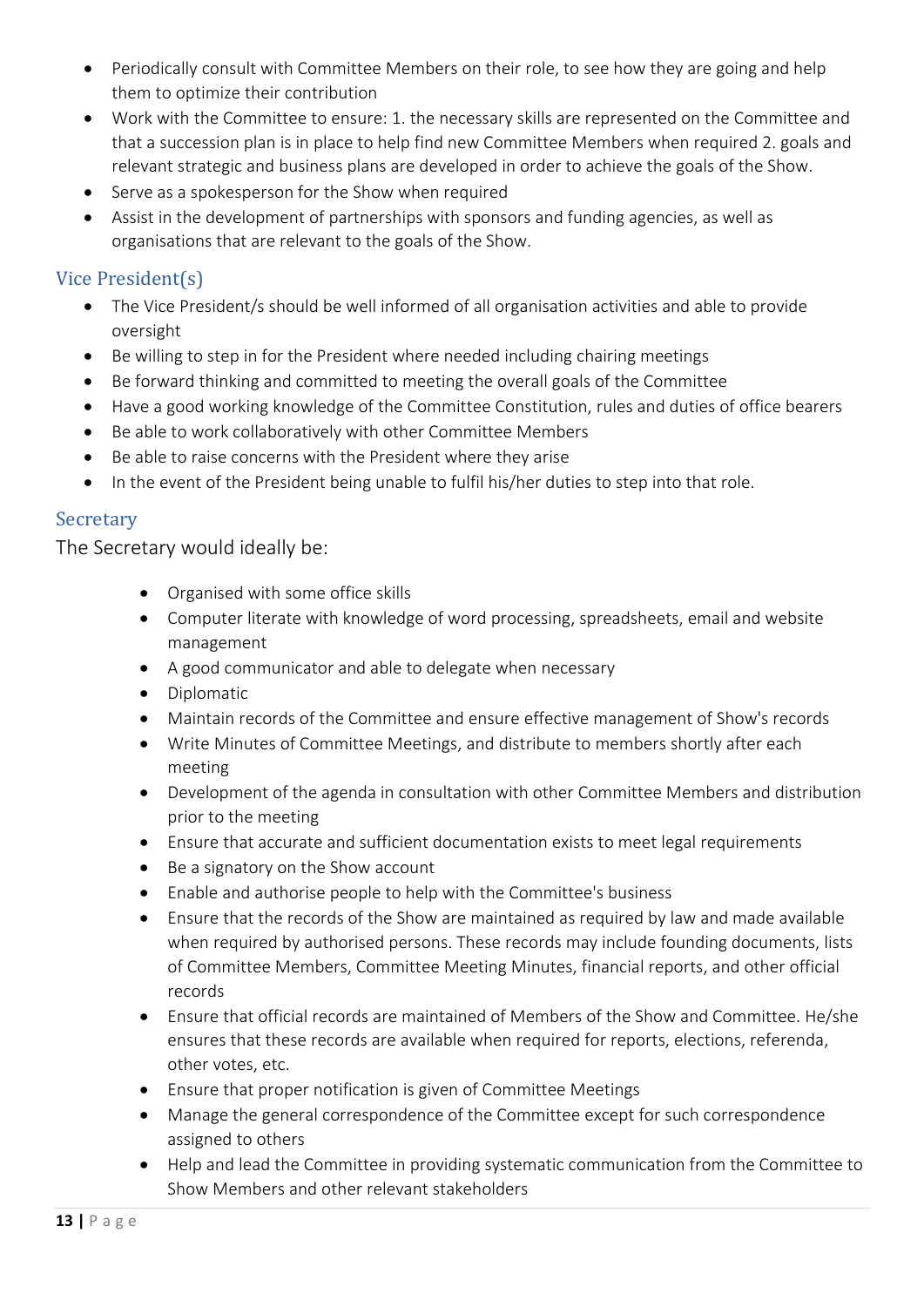- Periodically consult with Committee Members on their role, to see how they are going and help them to optimize their contribution
- Work with the Committee to ensure: 1. the necessary skills are represented on the Committee and that a succession plan is in place to help find new Committee Members when required 2. goals and relevant strategic and business plans are developed in order to achieve the goals of the Show.
- Serve as a spokesperson for the Show when required
- Assist in the development of partnerships with sponsors and funding agencies, as well as organisations that are relevant to the goals of the Show.

# <span id="page-12-0"></span>Vice President(s)

- The Vice President/s should be well informed of all organisation activities and able to provide oversight
- Be willing to step in for the President where needed including chairing meetings
- Be forward thinking and committed to meeting the overall goals of the Committee
- Have a good working knowledge of the Committee Constitution, rules and duties of office bearers
- Be able to work collaboratively with other Committee Members
- Be able to raise concerns with the President where they arise
- In the event of the President being unable to fulfil his/her duties to step into that role.

### <span id="page-12-1"></span>Secretary

The Secretary would ideally be:

- Organised with some office skills
- Computer literate with knowledge of word processing, spreadsheets, email and website management
- A good communicator and able to delegate when necessary
- Diplomatic
- Maintain records of the Committee and ensure effective management of Show's records
- Write Minutes of Committee Meetings, and distribute to members shortly after each meeting
- Development of the agenda in consultation with other Committee Members and distribution prior to the meeting
- Ensure that accurate and sufficient documentation exists to meet legal requirements
- Be a signatory on the Show account
- Enable and authorise people to help with the Committee's business
- Ensure that the records of the Show are maintained as required by law and made available when required by authorised persons. These records may include founding documents, lists of Committee Members, Committee Meeting Minutes, financial reports, and other official records
- Ensure that official records are maintained of Members of the Show and Committee. He/she ensures that these records are available when required for reports, elections, referenda, other votes, etc.
- Ensure that proper notification is given of Committee Meetings
- Manage the general correspondence of the Committee except for such correspondence assigned to others
- Help and lead the Committee in providing systematic communication from the Committee to Show Members and other relevant stakeholders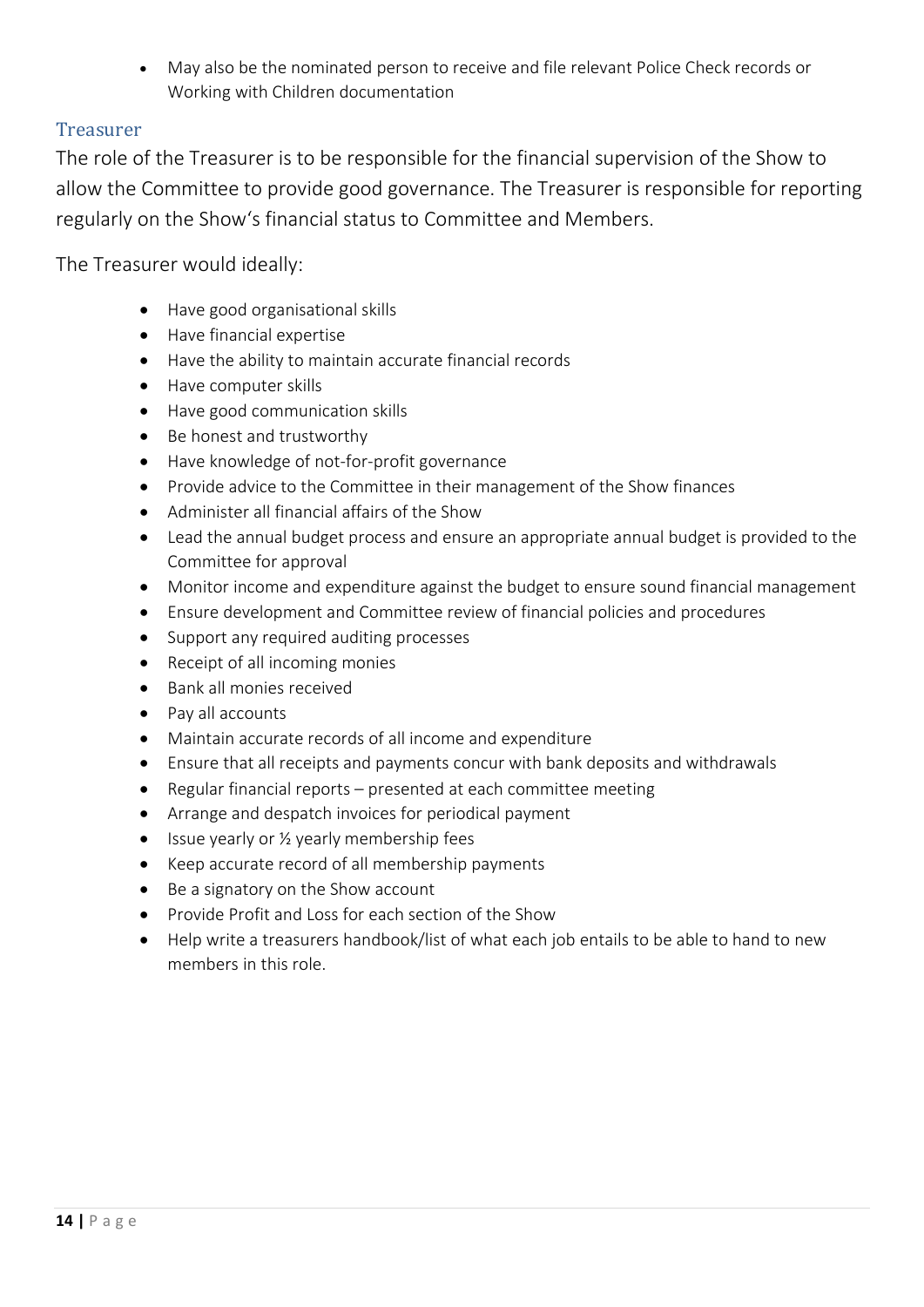• May also be the nominated person to receive and file relevant Police Check records or Working with Children documentation

### <span id="page-13-0"></span>Treasurer

The role of the Treasurer is to be responsible for the financial supervision of the Show to allow the Committee to provide good governance. The Treasurer is responsible for reporting regularly on the Show's financial status to Committee and Members.

The Treasurer would ideally:

- Have good organisational skills
- Have financial expertise
- Have the ability to maintain accurate financial records
- Have computer skills
- Have good communication skills
- Be honest and trustworthy
- Have knowledge of not-for-profit governance
- Provide advice to the Committee in their management of the Show finances
- Administer all financial affairs of the Show
- Lead the annual budget process and ensure an appropriate annual budget is provided to the Committee for approval
- Monitor income and expenditure against the budget to ensure sound financial management
- Ensure development and Committee review of financial policies and procedures
- Support any required auditing processes
- Receipt of all incoming monies
- Bank all monies received
- Pay all accounts
- Maintain accurate records of all income and expenditure
- Ensure that all receipts and payments concur with bank deposits and withdrawals
- Regular financial reports presented at each committee meeting
- Arrange and despatch invoices for periodical payment
- Issue yearly or 1/2 yearly membership fees
- Keep accurate record of all membership payments
- Be a signatory on the Show account
- Provide Profit and Loss for each section of the Show
- Help write a treasurers handbook/list of what each job entails to be able to hand to new members in this role.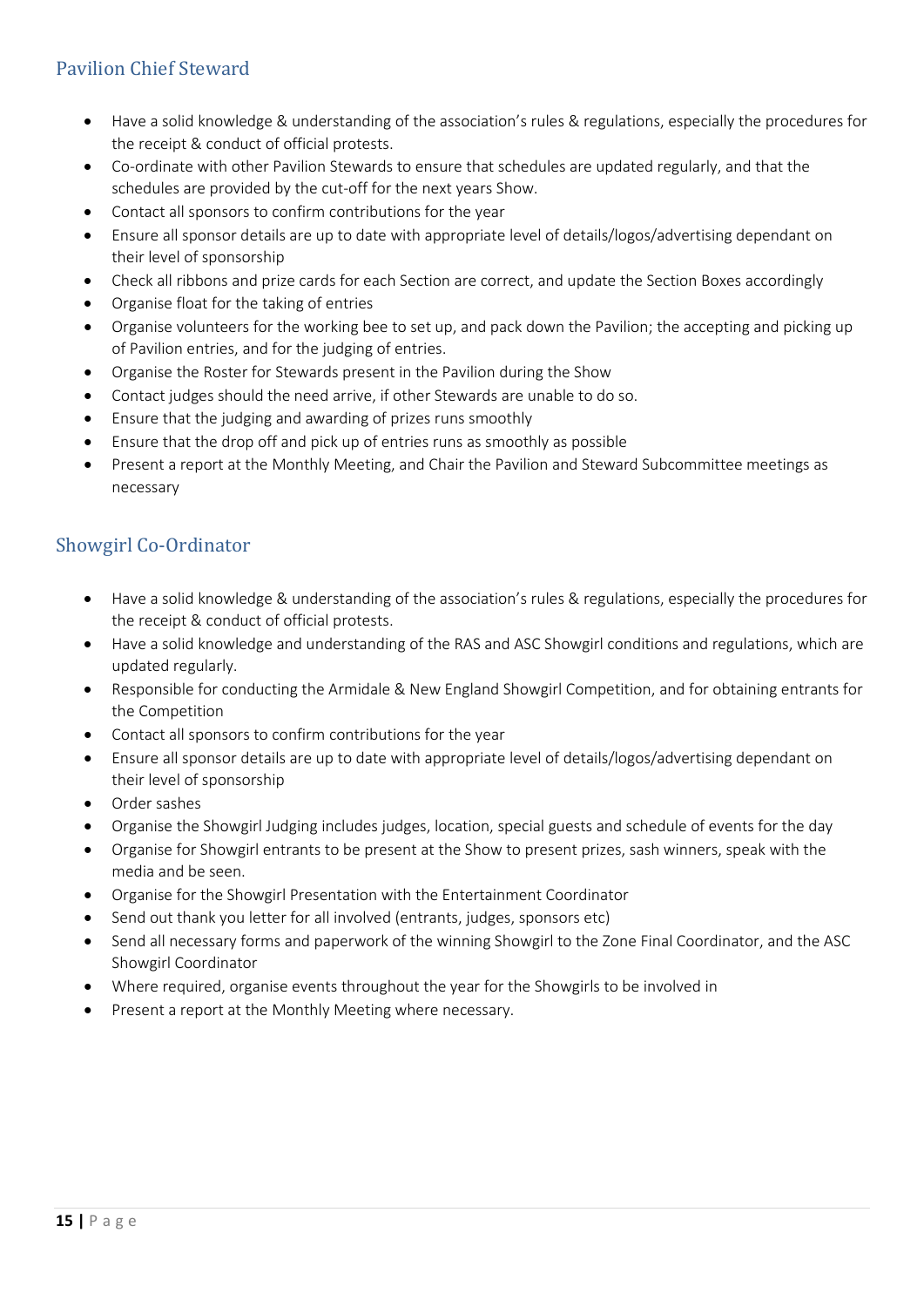# <span id="page-14-0"></span>Pavilion Chief Steward

- Have a solid knowledge & understanding of the association's rules & regulations, especially the procedures for the receipt & conduct of official protests.
- Co-ordinate with other Pavilion Stewards to ensure that schedules are updated regularly, and that the schedules are provided by the cut-off for the next years Show.
- Contact all sponsors to confirm contributions for the year
- Ensure all sponsor details are up to date with appropriate level of details/logos/advertising dependant on their level of sponsorship
- Check all ribbons and prize cards for each Section are correct, and update the Section Boxes accordingly
- Organise float for the taking of entries
- Organise volunteers for the working bee to set up, and pack down the Pavilion; the accepting and picking up of Pavilion entries, and for the judging of entries.
- Organise the Roster for Stewards present in the Pavilion during the Show
- Contact judges should the need arrive, if other Stewards are unable to do so.
- Ensure that the judging and awarding of prizes runs smoothly
- Ensure that the drop off and pick up of entries runs as smoothly as possible
- Present a report at the Monthly Meeting, and Chair the Pavilion and Steward Subcommittee meetings as necessary

# <span id="page-14-1"></span>Showgirl Co-Ordinator

- Have a solid knowledge & understanding of the association's rules & regulations, especially the procedures for the receipt & conduct of official protests.
- Have a solid knowledge and understanding of the RAS and ASC Showgirl conditions and regulations, which are updated regularly.
- Responsible for conducting the Armidale & New England Showgirl Competition, and for obtaining entrants for the Competition
- Contact all sponsors to confirm contributions for the year
- Ensure all sponsor details are up to date with appropriate level of details/logos/advertising dependant on their level of sponsorship
- Order sashes
- Organise the Showgirl Judging includes judges, location, special guests and schedule of events for the day
- Organise for Showgirl entrants to be present at the Show to present prizes, sash winners, speak with the media and be seen.
- Organise for the Showgirl Presentation with the Entertainment Coordinator
- Send out thank you letter for all involved (entrants, judges, sponsors etc)
- Send all necessary forms and paperwork of the winning Showgirl to the Zone Final Coordinator, and the ASC Showgirl Coordinator
- Where required, organise events throughout the year for the Showgirls to be involved in
- Present a report at the Monthly Meeting where necessary.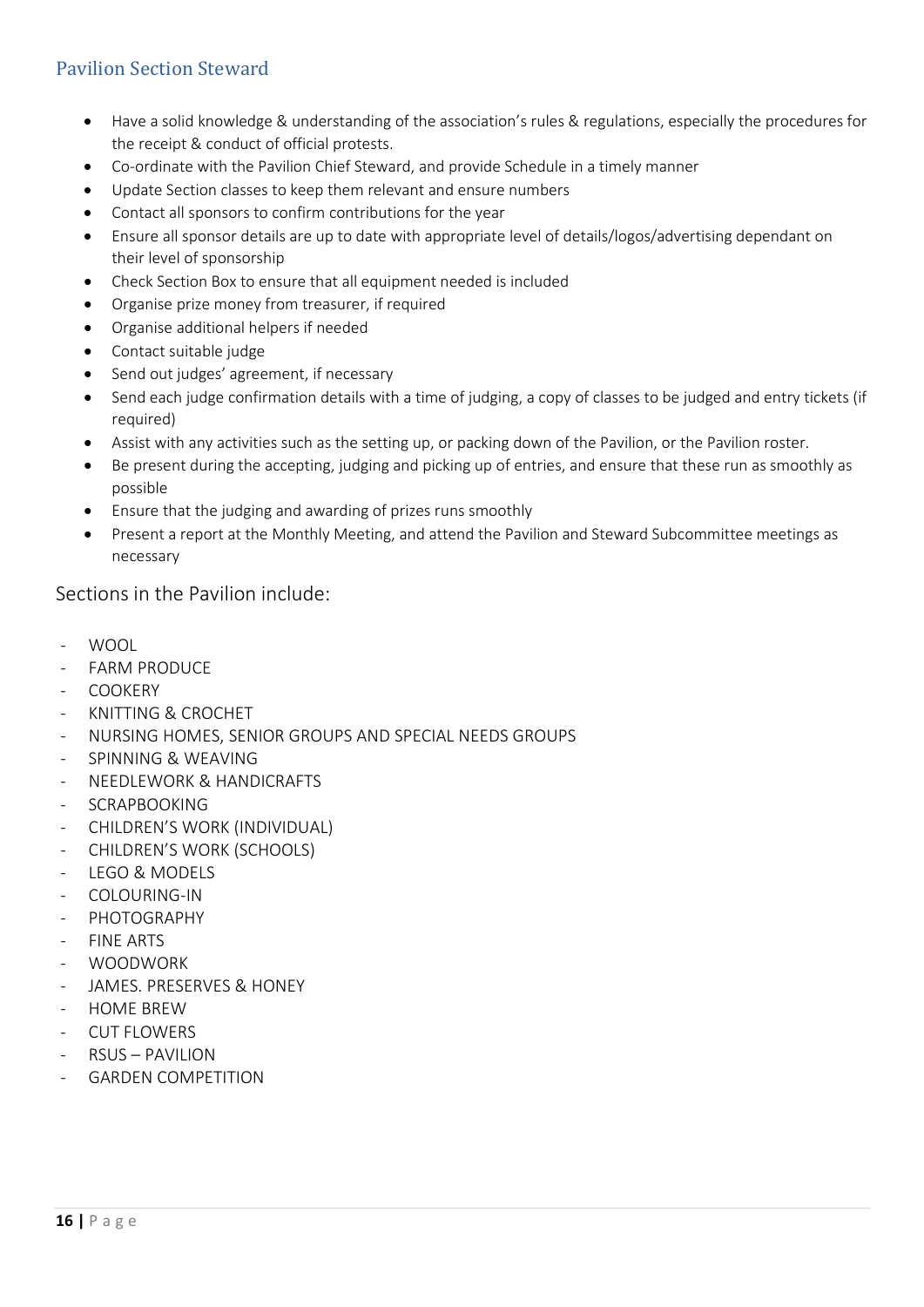# <span id="page-15-0"></span>Pavilion Section Steward

- Have a solid knowledge & understanding of the association's rules & regulations, especially the procedures for the receipt & conduct of official protests.
- Co-ordinate with the Pavilion Chief Steward, and provide Schedule in a timely manner
- Update Section classes to keep them relevant and ensure numbers
- Contact all sponsors to confirm contributions for the year
- Ensure all sponsor details are up to date with appropriate level of details/logos/advertising dependant on their level of sponsorship
- Check Section Box to ensure that all equipment needed is included
- Organise prize money from treasurer, if required
- Organise additional helpers if needed
- Contact suitable judge
- Send out judges' agreement, if necessary
- Send each judge confirmation details with a time of judging, a copy of classes to be judged and entry tickets (if required)
- Assist with any activities such as the setting up, or packing down of the Pavilion, or the Pavilion roster.
- Be present during the accepting, judging and picking up of entries, and ensure that these run as smoothly as possible
- Ensure that the judging and awarding of prizes runs smoothly
- Present a report at the Monthly Meeting, and attend the Pavilion and Steward Subcommittee meetings as necessary

### Sections in the Pavilion include:

- WOOL
- FARM PRODUCE
- **COOKERY**
- KNITTING & CROCHET
- NURSING HOMES, SENIOR GROUPS AND SPECIAL NEEDS GROUPS
- SPINNING & WEAVING
- NEEDLEWORK & HANDICRAFTS
- SCRAPBOOKING
- CHILDREN'S WORK (INDIVIDUAL)
- CHILDREN'S WORK (SCHOOLS)
- LEGO & MODELS
- COLOURING-IN
- PHOTOGRAPHY
- **FINE ARTS**
- WOODWORK
- JAMES. PRESERVES & HONEY
- HOME BREW
- CUT FLOWERS
- RSUS PAVILION
- **GARDEN COMPETITION**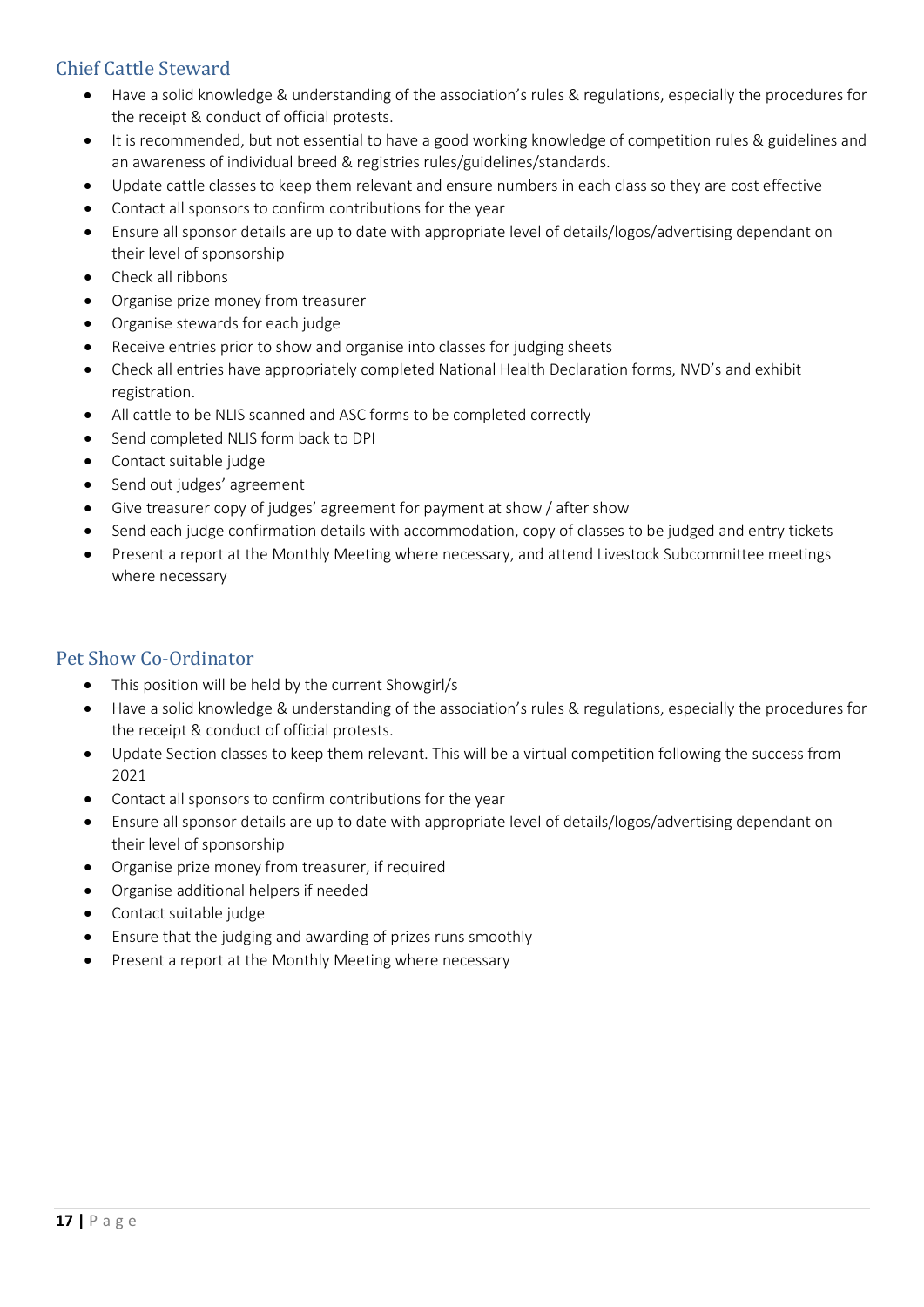# <span id="page-16-0"></span>Chief Cattle Steward

- Have a solid knowledge & understanding of the association's rules & regulations, especially the procedures for the receipt & conduct of official protests.
- It is recommended, but not essential to have a good working knowledge of competition rules & guidelines and an awareness of individual breed & registries rules/guidelines/standards.
- Update cattle classes to keep them relevant and ensure numbers in each class so they are cost effective
- Contact all sponsors to confirm contributions for the year
- Ensure all sponsor details are up to date with appropriate level of details/logos/advertising dependant on their level of sponsorship
- Check all ribbons
- Organise prize money from treasurer
- Organise stewards for each judge
- Receive entries prior to show and organise into classes for judging sheets
- Check all entries have appropriately completed National Health Declaration forms, NVD's and exhibit registration.
- All cattle to be NLIS scanned and ASC forms to be completed correctly
- Send completed NLIS form back to DPI
- Contact suitable judge
- Send out judges' agreement
- Give treasurer copy of judges' agreement for payment at show / after show
- Send each judge confirmation details with accommodation, copy of classes to be judged and entry tickets
- Present a report at the Monthly Meeting where necessary, and attend Livestock Subcommittee meetings where necessary

# <span id="page-16-1"></span>Pet Show Co-Ordinator

- This position will be held by the current Showgirl/s
- Have a solid knowledge & understanding of the association's rules & regulations, especially the procedures for the receipt & conduct of official protests.
- Update Section classes to keep them relevant. This will be a virtual competition following the success from 2021
- Contact all sponsors to confirm contributions for the year
- Ensure all sponsor details are up to date with appropriate level of details/logos/advertising dependant on their level of sponsorship
- Organise prize money from treasurer, if required
- Organise additional helpers if needed
- Contact suitable judge
- Ensure that the judging and awarding of prizes runs smoothly
- Present a report at the Monthly Meeting where necessary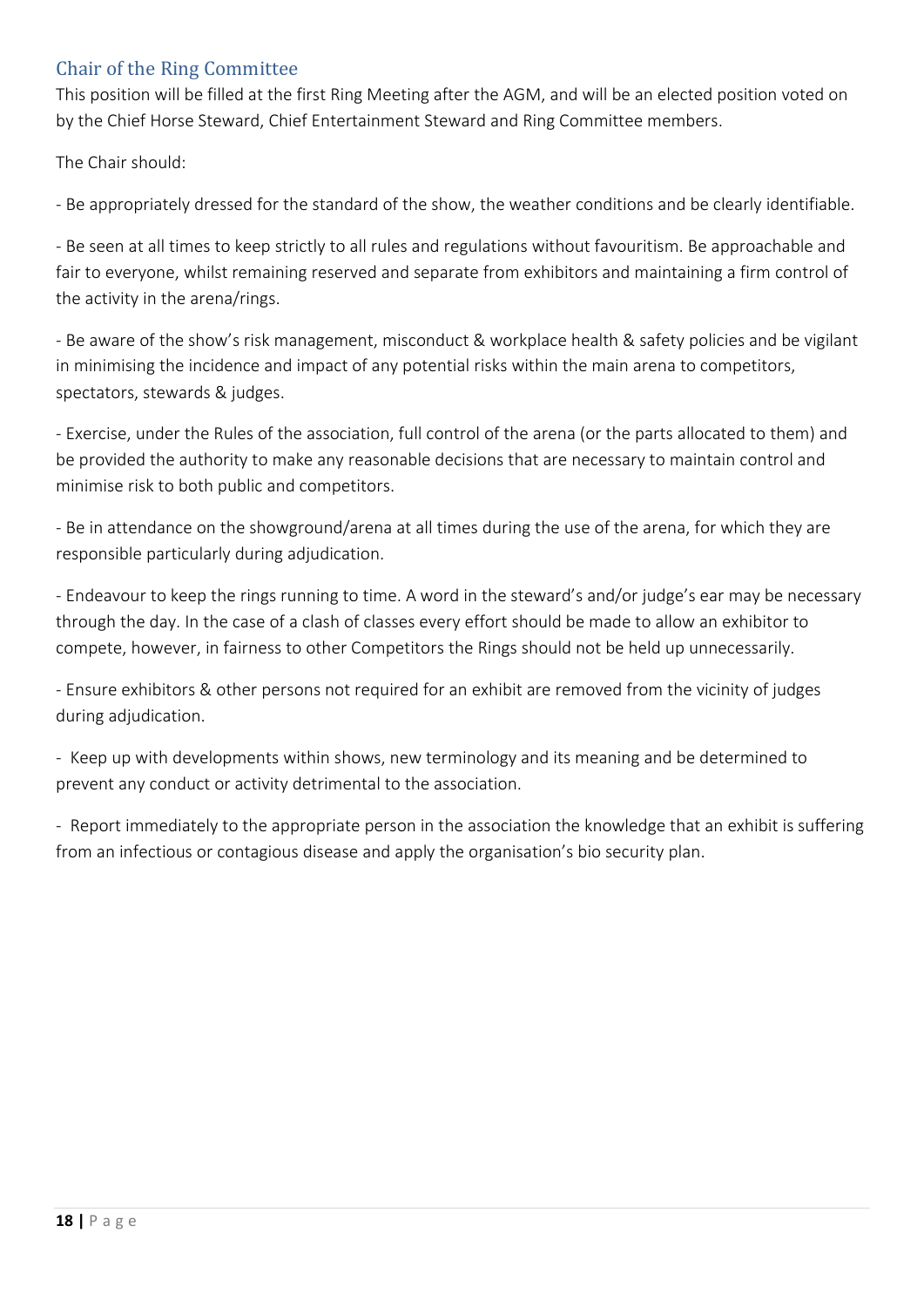# <span id="page-17-0"></span>Chair of the Ring Committee

This position will be filled at the first Ring Meeting after the AGM, and will be an elected position voted on by the Chief Horse Steward, Chief Entertainment Steward and Ring Committee members.

The Chair should:

- Be appropriately dressed for the standard of the show, the weather conditions and be clearly identifiable.

- Be seen at all times to keep strictly to all rules and regulations without favouritism. Be approachable and fair to everyone, whilst remaining reserved and separate from exhibitors and maintaining a firm control of the activity in the arena/rings.

- Be aware of the show's risk management, misconduct & workplace health & safety policies and be vigilant in minimising the incidence and impact of any potential risks within the main arena to competitors, spectators, stewards & judges.

- Exercise, under the Rules of the association, full control of the arena (or the parts allocated to them) and be provided the authority to make any reasonable decisions that are necessary to maintain control and minimise risk to both public and competitors.

- Be in attendance on the showground/arena at all times during the use of the arena, for which they are responsible particularly during adjudication.

- Endeavour to keep the rings running to time. A word in the steward's and/or judge's ear may be necessary through the day. In the case of a clash of classes every effort should be made to allow an exhibitor to compete, however, in fairness to other Competitors the Rings should not be held up unnecessarily.

- Ensure exhibitors & other persons not required for an exhibit are removed from the vicinity of judges during adjudication.

- Keep up with developments within shows, new terminology and its meaning and be determined to prevent any conduct or activity detrimental to the association.

- Report immediately to the appropriate person in the association the knowledge that an exhibit is suffering from an infectious or contagious disease and apply the organisation's bio security plan.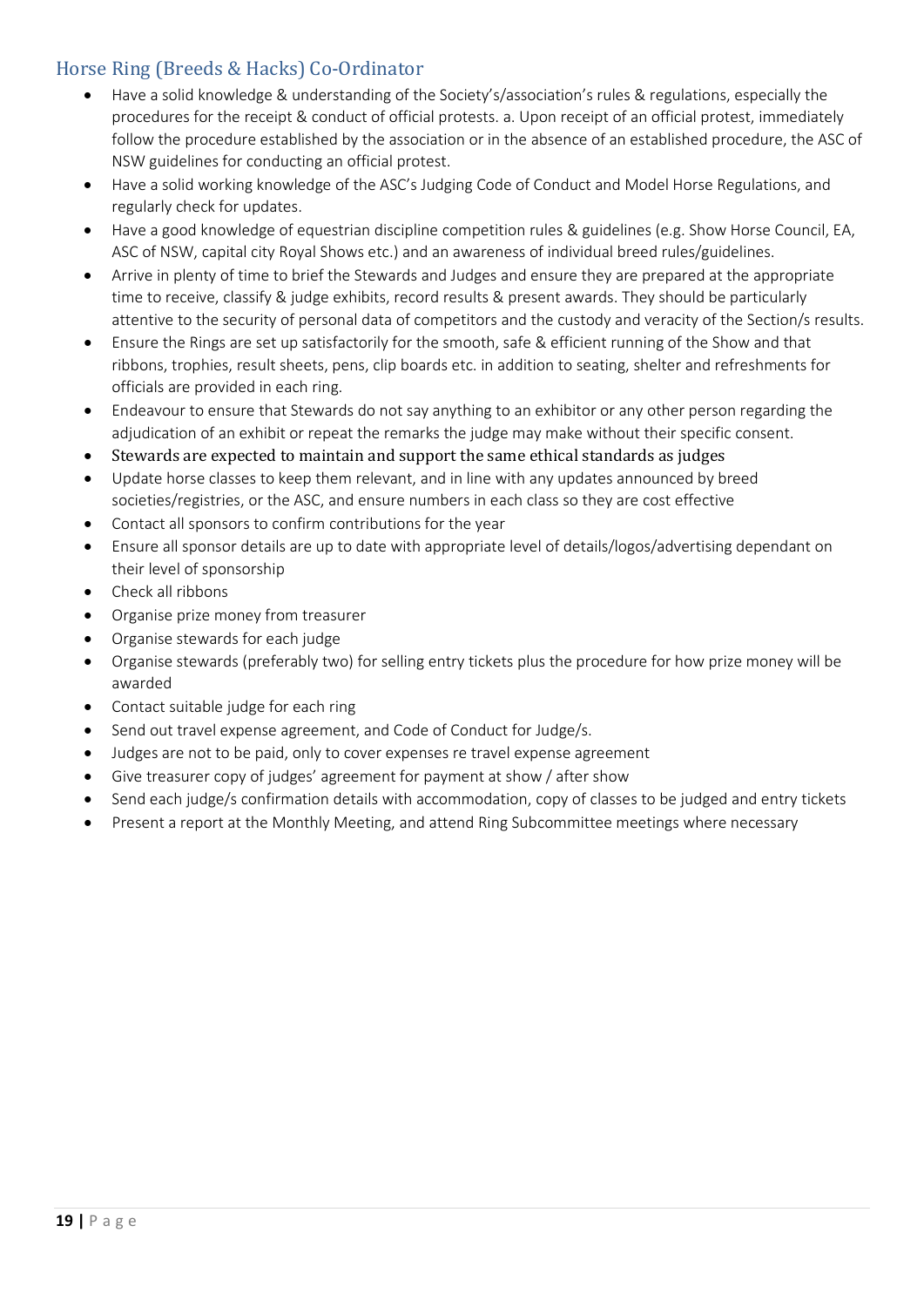# <span id="page-18-0"></span>Horse Ring (Breeds & Hacks) Co-Ordinator

- Have a solid knowledge & understanding of the Society's/association's rules & regulations, especially the procedures for the receipt & conduct of official protests. a. Upon receipt of an official protest, immediately follow the procedure established by the association or in the absence of an established procedure, the ASC of NSW guidelines for conducting an official protest.
- Have a solid working knowledge of the ASC's Judging Code of Conduct and Model Horse Regulations, and regularly check for updates.
- Have a good knowledge of equestrian discipline competition rules & guidelines (e.g. Show Horse Council, EA, ASC of NSW, capital city Royal Shows etc.) and an awareness of individual breed rules/guidelines.
- Arrive in plenty of time to brief the Stewards and Judges and ensure they are prepared at the appropriate time to receive, classify & judge exhibits, record results & present awards. They should be particularly attentive to the security of personal data of competitors and the custody and veracity of the Section/s results.
- Ensure the Rings are set up satisfactorily for the smooth, safe & efficient running of the Show and that ribbons, trophies, result sheets, pens, clip boards etc. in addition to seating, shelter and refreshments for officials are provided in each ring.
- Endeavour to ensure that Stewards do not say anything to an exhibitor or any other person regarding the adjudication of an exhibit or repeat the remarks the judge may make without their specific consent.
- Stewards are expected to maintain and support the same ethical standards as judges
- Update horse classes to keep them relevant, and in line with any updates announced by breed societies/registries, or the ASC, and ensure numbers in each class so they are cost effective
- Contact all sponsors to confirm contributions for the year
- Ensure all sponsor details are up to date with appropriate level of details/logos/advertising dependant on their level of sponsorship
- Check all ribbons
- Organise prize money from treasurer
- Organise stewards for each judge
- Organise stewards (preferably two) for selling entry tickets plus the procedure for how prize money will be awarded
- Contact suitable judge for each ring
- Send out travel expense agreement, and Code of Conduct for Judge/s.
- Judges are not to be paid, only to cover expenses re travel expense agreement
- Give treasurer copy of judges' agreement for payment at show / after show
- Send each judge/s confirmation details with accommodation, copy of classes to be judged and entry tickets
- Present a report at the Monthly Meeting, and attend Ring Subcommittee meetings where necessary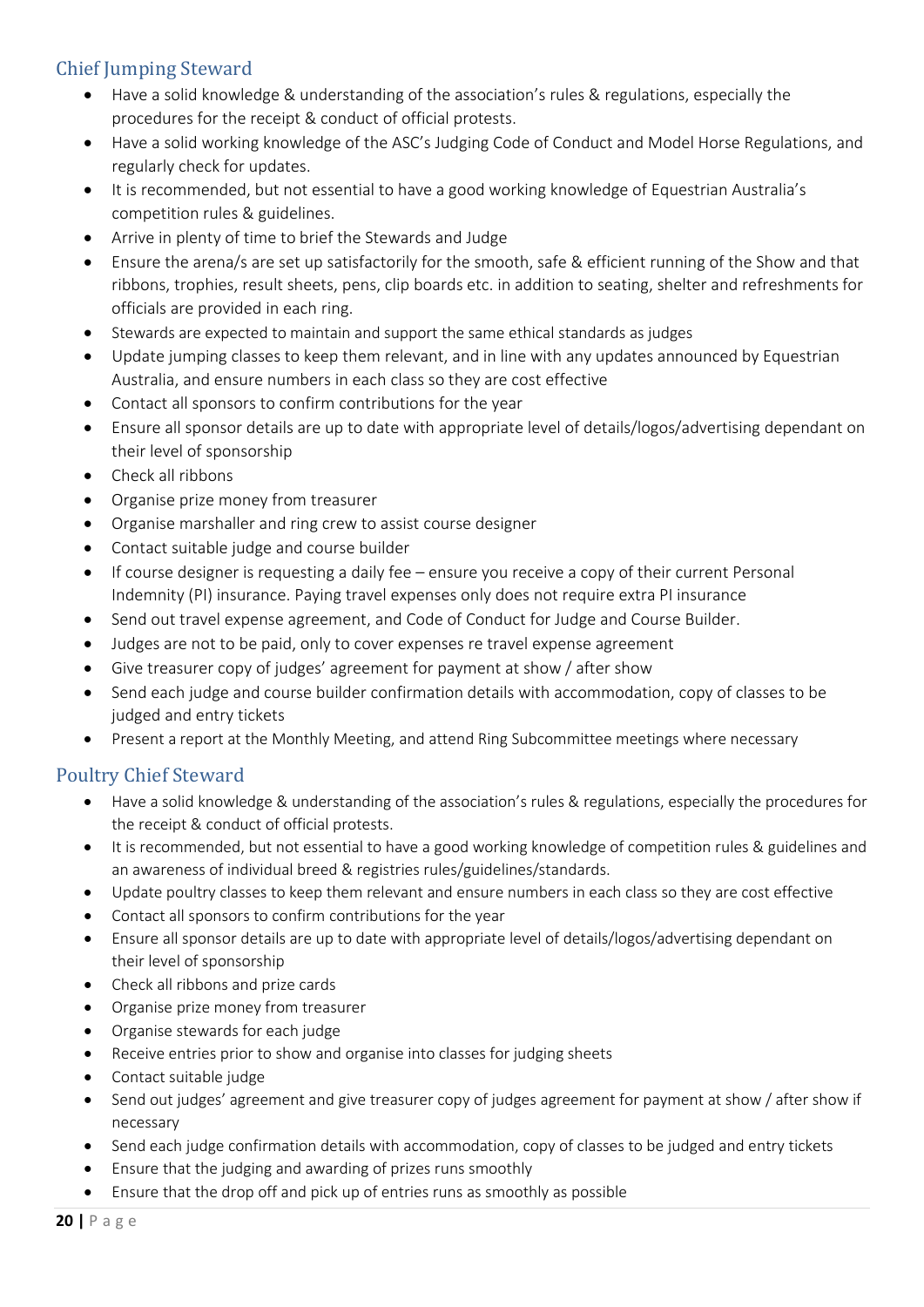# <span id="page-19-0"></span>Chief Jumping Steward

- Have a solid knowledge & understanding of the association's rules & regulations, especially the procedures for the receipt & conduct of official protests.
- Have a solid working knowledge of the ASC's Judging Code of Conduct and Model Horse Regulations, and regularly check for updates.
- It is recommended, but not essential to have a good working knowledge of Equestrian Australia's competition rules & guidelines.
- Arrive in plenty of time to brief the Stewards and Judge
- Ensure the arena/s are set up satisfactorily for the smooth, safe & efficient running of the Show and that ribbons, trophies, result sheets, pens, clip boards etc. in addition to seating, shelter and refreshments for officials are provided in each ring.
- Stewards are expected to maintain and support the same ethical standards as judges
- Update jumping classes to keep them relevant, and in line with any updates announced by Equestrian Australia, and ensure numbers in each class so they are cost effective
- Contact all sponsors to confirm contributions for the year
- Ensure all sponsor details are up to date with appropriate level of details/logos/advertising dependant on their level of sponsorship
- Check all ribbons
- Organise prize money from treasurer
- Organise marshaller and ring crew to assist course designer
- Contact suitable judge and course builder
- If course designer is requesting a daily fee ensure you receive a copy of their current Personal Indemnity (PI) insurance. Paying travel expenses only does not require extra PI insurance
- Send out travel expense agreement, and Code of Conduct for Judge and Course Builder.
- Judges are not to be paid, only to cover expenses re travel expense agreement
- Give treasurer copy of judges' agreement for payment at show / after show
- Send each judge and course builder confirmation details with accommodation, copy of classes to be judged and entry tickets
- Present a report at the Monthly Meeting, and attend Ring Subcommittee meetings where necessary

# <span id="page-19-1"></span>Poultry Chief Steward

- Have a solid knowledge & understanding of the association's rules & regulations, especially the procedures for the receipt & conduct of official protests.
- It is recommended, but not essential to have a good working knowledge of competition rules & guidelines and an awareness of individual breed & registries rules/guidelines/standards.
- Update poultry classes to keep them relevant and ensure numbers in each class so they are cost effective
- Contact all sponsors to confirm contributions for the year
- Ensure all sponsor details are up to date with appropriate level of details/logos/advertising dependant on their level of sponsorship
- Check all ribbons and prize cards
- Organise prize money from treasurer
- Organise stewards for each judge
- Receive entries prior to show and organise into classes for judging sheets
- Contact suitable judge
- Send out judges' agreement and give treasurer copy of judges agreement for payment at show / after show if necessary
- Send each judge confirmation details with accommodation, copy of classes to be judged and entry tickets
- Ensure that the judging and awarding of prizes runs smoothly
- Ensure that the drop off and pick up of entries runs as smoothly as possible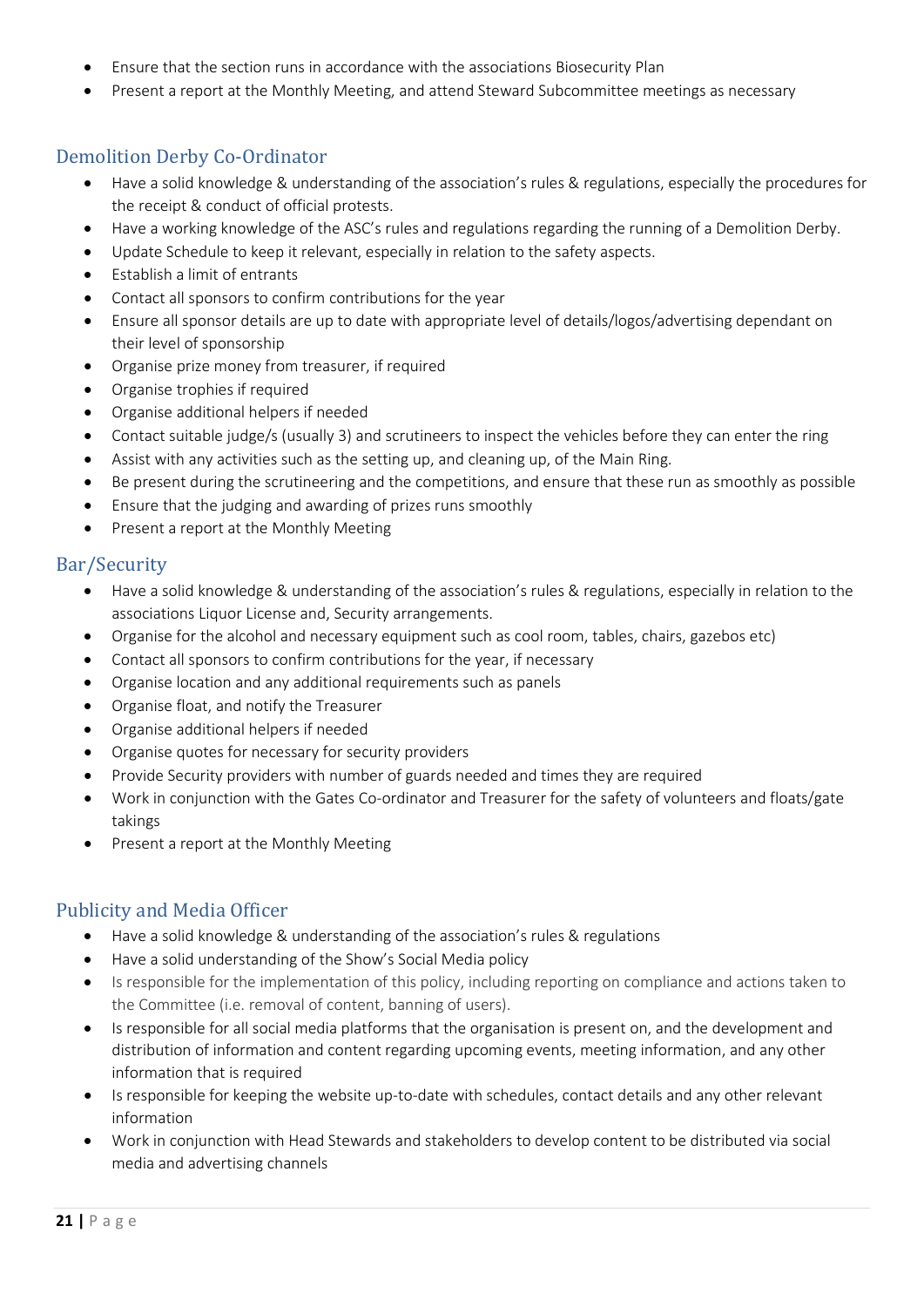- Ensure that the section runs in accordance with the associations Biosecurity Plan
- Present a report at the Monthly Meeting, and attend Steward Subcommittee meetings as necessary

# <span id="page-20-0"></span>Demolition Derby Co-Ordinator

- Have a solid knowledge & understanding of the association's rules & regulations, especially the procedures for the receipt & conduct of official protests.
- Have a working knowledge of the ASC's rules and regulations regarding the running of a Demolition Derby.
- Update Schedule to keep it relevant, especially in relation to the safety aspects.
- Establish a limit of entrants
- Contact all sponsors to confirm contributions for the year
- Ensure all sponsor details are up to date with appropriate level of details/logos/advertising dependant on their level of sponsorship
- Organise prize money from treasurer, if required
- Organise trophies if required
- Organise additional helpers if needed
- Contact suitable judge/s (usually 3) and scrutineers to inspect the vehicles before they can enter the ring
- Assist with any activities such as the setting up, and cleaning up, of the Main Ring.
- Be present during the scrutineering and the competitions, and ensure that these run as smoothly as possible
- Ensure that the judging and awarding of prizes runs smoothly
- Present a report at the Monthly Meeting

### <span id="page-20-1"></span>Bar/Security

- Have a solid knowledge & understanding of the association's rules & regulations, especially in relation to the associations Liquor License and, Security arrangements.
- Organise for the alcohol and necessary equipment such as cool room, tables, chairs, gazebos etc)
- Contact all sponsors to confirm contributions for the year, if necessary
- Organise location and any additional requirements such as panels
- Organise float, and notify the Treasurer
- Organise additional helpers if needed
- Organise quotes for necessary for security providers
- Provide Security providers with number of guards needed and times they are required
- Work in conjunction with the Gates Co-ordinator and Treasurer for the safety of volunteers and floats/gate takings
- Present a report at the Monthly Meeting

# <span id="page-20-2"></span>Publicity and Media Officer

- Have a solid knowledge & understanding of the association's rules & regulations
- Have a solid understanding of the Show's Social Media policy
- Is responsible for the implementation of this policy, including reporting on compliance and actions taken to the Committee (i.e. removal of content, banning of users).
- Is responsible for all social media platforms that the organisation is present on, and the development and distribution of information and content regarding upcoming events, meeting information, and any other information that is required
- Is responsible for keeping the website up-to-date with schedules, contact details and any other relevant information
- Work in conjunction with Head Stewards and stakeholders to develop content to be distributed via social media and advertising channels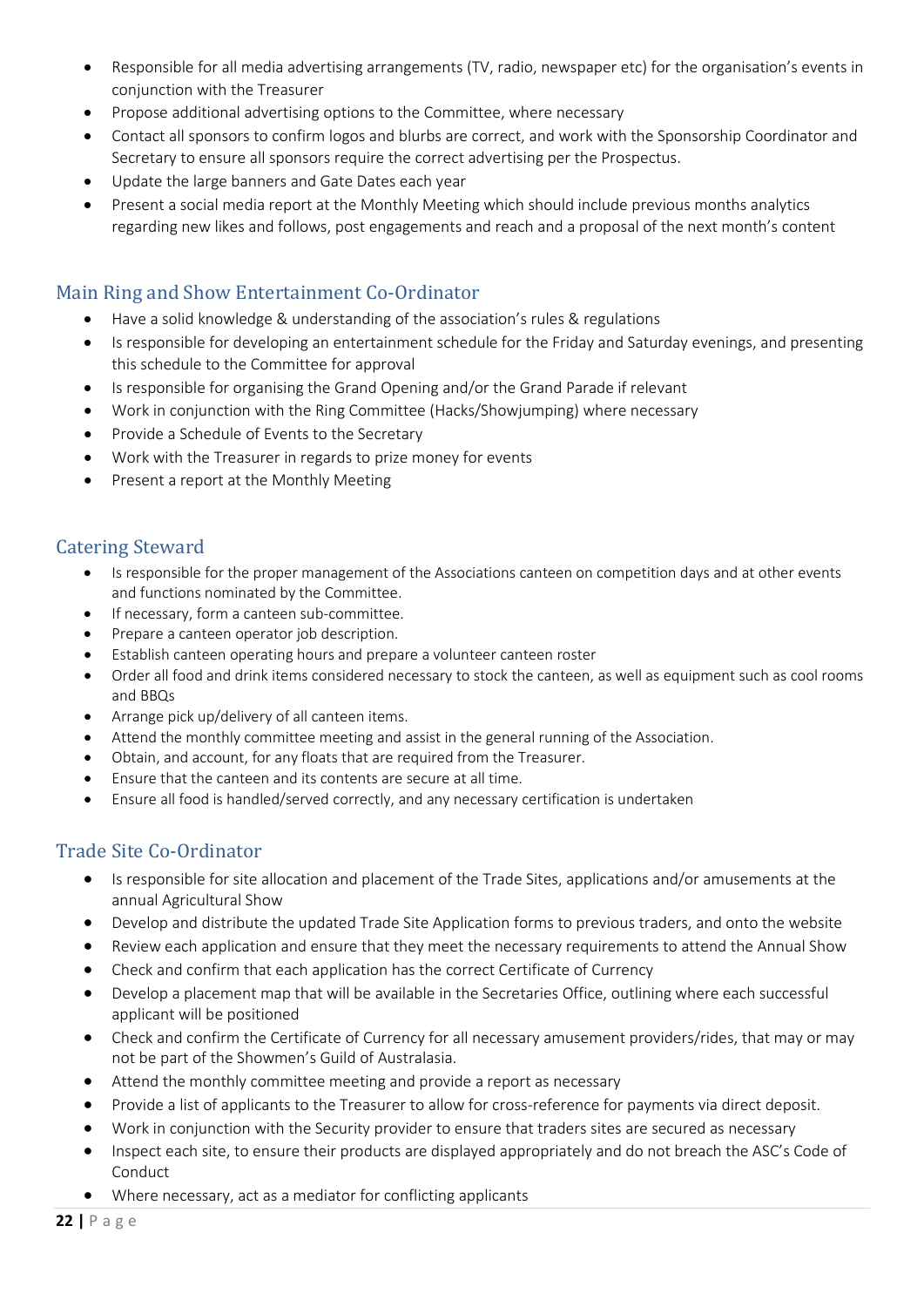- Responsible for all media advertising arrangements (TV, radio, newspaper etc) for the organisation's events in conjunction with the Treasurer
- Propose additional advertising options to the Committee, where necessary
- Contact all sponsors to confirm logos and blurbs are correct, and work with the Sponsorship Coordinator and Secretary to ensure all sponsors require the correct advertising per the Prospectus.
- Update the large banners and Gate Dates each year
- Present a social media report at the Monthly Meeting which should include previous months analytics regarding new likes and follows, post engagements and reach and a proposal of the next month's content

# <span id="page-21-0"></span>Main Ring and Show Entertainment Co-Ordinator

- Have a solid knowledge & understanding of the association's rules & regulations
- Is responsible for developing an entertainment schedule for the Friday and Saturday evenings, and presenting this schedule to the Committee for approval
- Is responsible for organising the Grand Opening and/or the Grand Parade if relevant
- Work in conjunction with the Ring Committee (Hacks/Showjumping) where necessary
- Provide a Schedule of Events to the Secretary
- Work with the Treasurer in regards to prize money for events
- Present a report at the Monthly Meeting

# <span id="page-21-1"></span>Catering Steward

- Is responsible for the proper management of the Associations canteen on competition days and at other events and functions nominated by the Committee.
- If necessary, form a canteen sub-committee.
- Prepare a canteen operator job description.
- Establish canteen operating hours and prepare a volunteer canteen roster
- Order all food and drink items considered necessary to stock the canteen, as well as equipment such as cool rooms and BBQs
- Arrange pick up/delivery of all canteen items.
- Attend the monthly committee meeting and assist in the general running of the Association.
- Obtain, and account, for any floats that are required from the Treasurer.
- Ensure that the canteen and its contents are secure at all time.
- Ensure all food is handled/served correctly, and any necessary certification is undertaken

### <span id="page-21-2"></span>Trade Site Co-Ordinator

- Is responsible for site allocation and placement of the Trade Sites, applications and/or amusements at the annual Agricultural Show
- Develop and distribute the updated Trade Site Application forms to previous traders, and onto the website
- Review each application and ensure that they meet the necessary requirements to attend the Annual Show
- Check and confirm that each application has the correct Certificate of Currency
- Develop a placement map that will be available in the Secretaries Office, outlining where each successful applicant will be positioned
- Check and confirm the Certificate of Currency for all necessary amusement providers/rides, that may or may not be part of the Showmen's Guild of Australasia.
- Attend the monthly committee meeting and provide a report as necessary
- Provide a list of applicants to the Treasurer to allow for cross-reference for payments via direct deposit.
- Work in conjunction with the Security provider to ensure that traders sites are secured as necessary
- Inspect each site, to ensure their products are displayed appropriately and do not breach the ASC's Code of Conduct
- Where necessary, act as a mediator for conflicting applicants